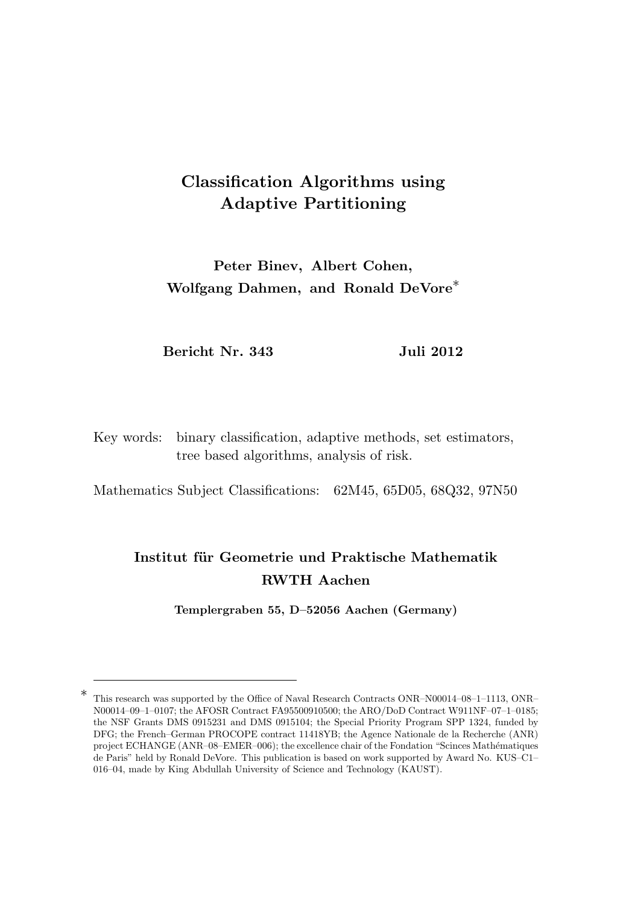# Classification Algorithms using Adaptive Partitioning

Peter Binev, Albert Cohen, Wolfgang Dahmen, and Ronald DeVore<sup>\*</sup>

Bericht Nr. 343 Juli 2012

Key words: binary classification, adaptive methods, set estimators, tree based algorithms, analysis of risk.

Mathematics Subject Classifications: 62M45, 65D05, 68Q32, 97N50

# Institut für Geometrie und Praktische Mathematik RWTH Aachen

Templergraben 55, D–52056 Aachen (Germany)

<sup>∗</sup> This research was supported by the Office of Naval Research Contracts ONR–N00014–08–1–1113, ONR– N00014–09–1–0107; the AFOSR Contract FA95500910500; the ARO/DoD Contract W911NF–07–1–0185; the NSF Grants DMS 0915231 and DMS 0915104; the Special Priority Program SPP 1324, funded by DFG; the French–German PROCOPE contract 11418YB; the Agence Nationale de la Recherche (ANR) project ECHANGE (ANR–08–EMER–006); the excellence chair of the Fondation "Scinces Mathématiques de Paris" held by Ronald DeVore. This publication is based on work supported by Award No. KUS–C1– 016–04, made by King Abdullah University of Science and Technology (KAUST).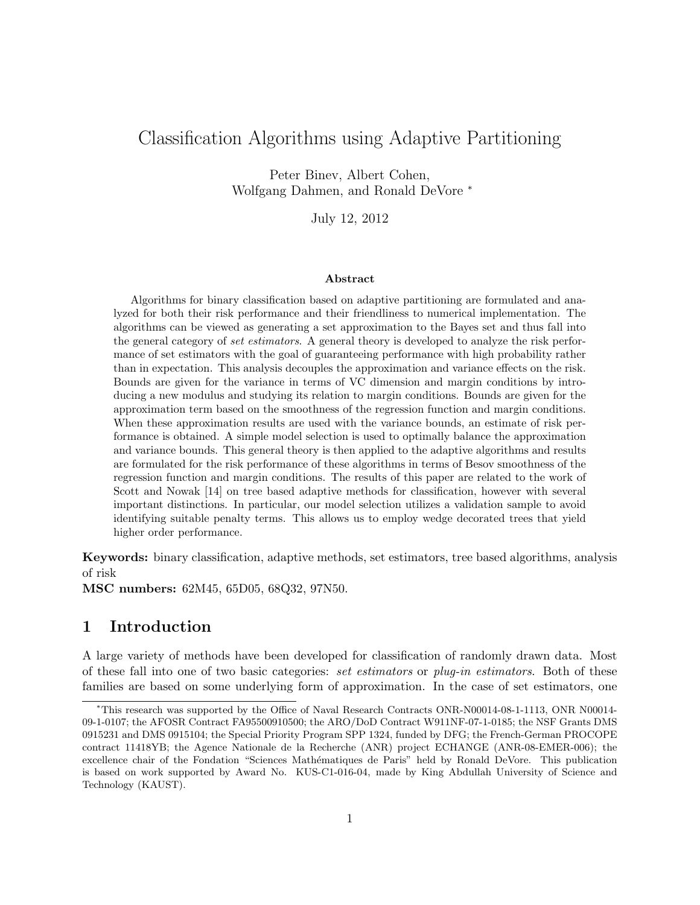## Classification Algorithms using Adaptive Partitioning

Peter Binev, Albert Cohen, Wolfgang Dahmen, and Ronald DeVore <sup>∗</sup>

July 12, 2012

#### Abstract

Algorithms for binary classification based on adaptive partitioning are formulated and analyzed for both their risk performance and their friendliness to numerical implementation. The algorithms can be viewed as generating a set approximation to the Bayes set and thus fall into the general category of set estimators. A general theory is developed to analyze the risk performance of set estimators with the goal of guaranteeing performance with high probability rather than in expectation. This analysis decouples the approximation and variance effects on the risk. Bounds are given for the variance in terms of VC dimension and margin conditions by introducing a new modulus and studying its relation to margin conditions. Bounds are given for the approximation term based on the smoothness of the regression function and margin conditions. When these approximation results are used with the variance bounds, an estimate of risk performance is obtained. A simple model selection is used to optimally balance the approximation and variance bounds. This general theory is then applied to the adaptive algorithms and results are formulated for the risk performance of these algorithms in terms of Besov smoothness of the regression function and margin conditions. The results of this paper are related to the work of Scott and Nowak [14] on tree based adaptive methods for classification, however with several important distinctions. In particular, our model selection utilizes a validation sample to avoid identifying suitable penalty terms. This allows us to employ wedge decorated trees that yield higher order performance.

Keywords: binary classification, adaptive methods, set estimators, tree based algorithms, analysis of risk

MSC numbers: 62M45, 65D05, 68Q32, 97N50.

### 1 Introduction

A large variety of methods have been developed for classification of randomly drawn data. Most of these fall into one of two basic categories: set estimators or plug-in estimators. Both of these families are based on some underlying form of approximation. In the case of set estimators, one

<sup>∗</sup>This research was supported by the Office of Naval Research Contracts ONR-N00014-08-1-1113, ONR N00014- 09-1-0107; the AFOSR Contract FA95500910500; the ARO/DoD Contract W911NF-07-1-0185; the NSF Grants DMS 0915231 and DMS 0915104; the Special Priority Program SPP 1324, funded by DFG; the French-German PROCOPE contract 11418YB; the Agence Nationale de la Recherche (ANR) project ECHANGE (ANR-08-EMER-006); the excellence chair of the Fondation "Sciences Mathématiques de Paris" held by Ronald DeVore. This publication is based on work supported by Award No. KUS-C1-016-04, made by King Abdullah University of Science and Technology (KAUST).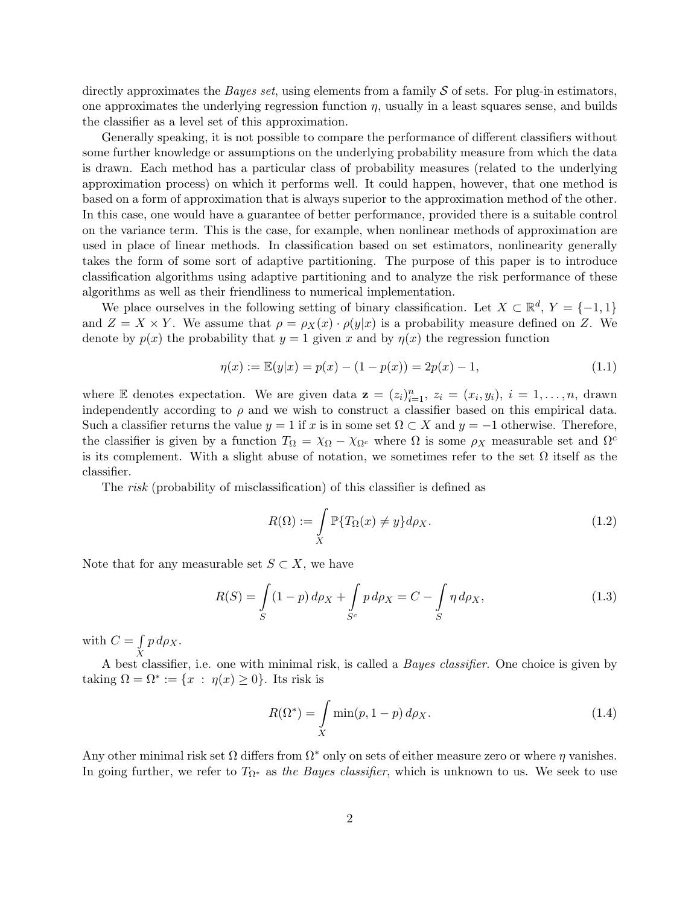directly approximates the *Bayes set*, using elements from a family  $S$  of sets. For plug-in estimators, one approximates the underlying regression function  $\eta$ , usually in a least squares sense, and builds the classifier as a level set of this approximation.

Generally speaking, it is not possible to compare the performance of different classifiers without some further knowledge or assumptions on the underlying probability measure from which the data is drawn. Each method has a particular class of probability measures (related to the underlying approximation process) on which it performs well. It could happen, however, that one method is based on a form of approximation that is always superior to the approximation method of the other. In this case, one would have a guarantee of better performance, provided there is a suitable control on the variance term. This is the case, for example, when nonlinear methods of approximation are used in place of linear methods. In classification based on set estimators, nonlinearity generally takes the form of some sort of adaptive partitioning. The purpose of this paper is to introduce classification algorithms using adaptive partitioning and to analyze the risk performance of these algorithms as well as their friendliness to numerical implementation.

We place ourselves in the following setting of binary classification. Let  $X \subset \mathbb{R}^d$ ,  $Y = \{-1, 1\}$ and  $Z = X \times Y$ . We assume that  $\rho = \rho_X(x) \cdot \rho(y|x)$  is a probability measure defined on Z. We denote by  $p(x)$  the probability that  $y = 1$  given x and by  $\eta(x)$  the regression function

$$
\eta(x) := \mathbb{E}(y|x) = p(x) - (1 - p(x)) = 2p(x) - 1,\tag{1.1}
$$

where E denotes expectation. We are given data  $z = (z_i)_{i=1}^n$ ,  $z_i = (x_i, y_i)$ ,  $i = 1, ..., n$ , drawn independently according to  $\rho$  and we wish to construct a classifier based on this empirical data. Such a classifier returns the value  $y = 1$  if x is in some set  $\Omega \subset X$  and  $y = -1$  otherwise. Therefore, the classifier is given by a function  $T_{\Omega} = \chi_{\Omega} - \chi_{\Omega^c}$  where  $\Omega$  is some  $\rho_X$  measurable set and  $\Omega^c$ is its complement. With a slight abuse of notation, we sometimes refer to the set  $\Omega$  itself as the classifier.

The risk (probability of misclassification) of this classifier is defined as

$$
R(\Omega) := \int\limits_X \mathbb{P}\{T_{\Omega}(x) \neq y\} d\rho_X. \tag{1.2}
$$

Note that for any measurable set  $S \subset X$ , we have

$$
R(S) = \int_{S} (1 - p) \, d\rho_X + \int_{S^c} p \, d\rho_X = C - \int_{S} \eta \, d\rho_X,\tag{1.3}
$$

with  $C=\int$  $\boldsymbol{X}$  $p\,d\rho_X.$ 

A best classifier, i.e. one with minimal risk, is called a Bayes classifier. One choice is given by taking  $\Omega = \Omega^* := \{x : \eta(x) \geq 0\}$ . Its risk is

$$
R(\Omega^*) = \int\limits_X \min(p, 1-p) \, d\rho_X. \tag{1.4}
$$

Any other minimal risk set  $\Omega$  differs from  $\Omega^*$  only on sets of either measure zero or where  $\eta$  vanishes. In going further, we refer to  $T_{\Omega^*}$  as the Bayes classifier, which is unknown to us. We seek to use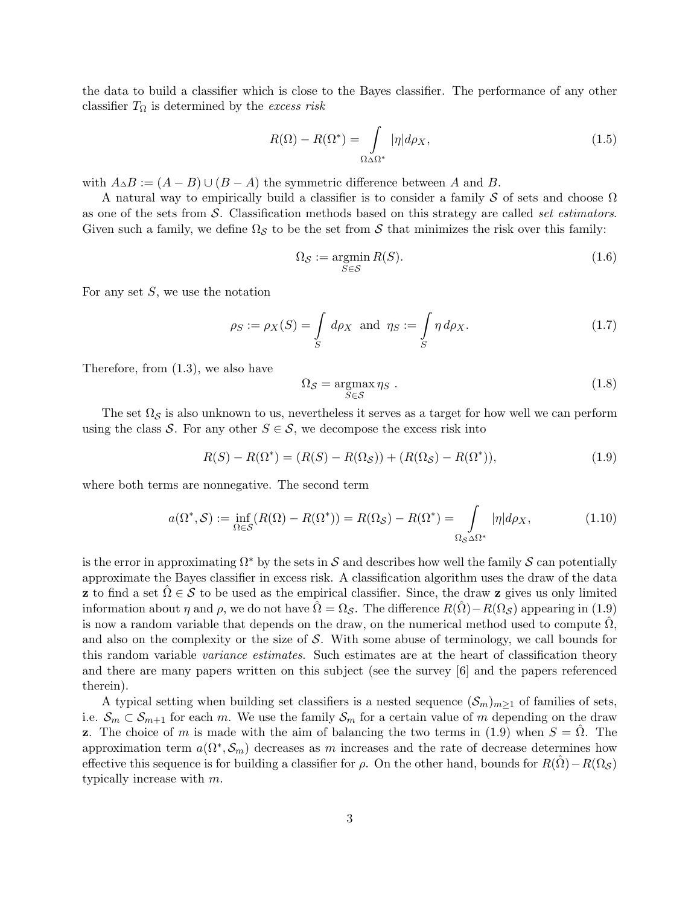the data to build a classifier which is close to the Bayes classifier. The performance of any other classifier  $T_{\Omega}$  is determined by the excess risk

$$
R(\Omega) - R(\Omega^*) = \int_{\Omega \triangle \Omega^*} |\eta| d\rho_X, \qquad (1.5)
$$

with  $A\Delta B := (A - B) \cup (B - A)$  the symmetric difference between A and B.

A natural way to empirically build a classifier is to consider a family S of sets and choose  $\Omega$ as one of the sets from  $\mathcal S$ . Classification methods based on this strategy are called set estimators. Given such a family, we define  $\Omega_{\mathcal{S}}$  to be the set from S that minimizes the risk over this family:

$$
\Omega_{\mathcal{S}} := \underset{S \in \mathcal{S}}{\operatorname{argmin}} R(S). \tag{1.6}
$$

For any set  $S$ , we use the notation

$$
\rho_S := \rho_X(S) = \int_S d\rho_X \text{ and } \eta_S := \int_S \eta d\rho_X. \tag{1.7}
$$

Therefore, from (1.3), we also have

$$
\Omega_{\mathcal{S}} = \underset{S \in \mathcal{S}}{\operatorname{argmax}} \eta_S \tag{1.8}
$$

The set  $\Omega_{\mathcal{S}}$  is also unknown to us, nevertheless it serves as a target for how well we can perform using the class S. For any other  $S \in \mathcal{S}$ , we decompose the excess risk into

$$
R(S) - R(\Omega^*) = (R(S) - R(\Omega_{\mathcal{S}})) + (R(\Omega_{\mathcal{S}}) - R(\Omega^*)),
$$
\n(1.9)

where both terms are nonnegative. The second term

$$
a(\Omega^*, \mathcal{S}) := \inf_{\Omega \in \mathcal{S}} (R(\Omega) - R(\Omega^*)) = R(\Omega_{\mathcal{S}}) - R(\Omega^*) = \int_{\Omega_{\mathcal{S}} \Delta \Omega^*} |\eta| d\rho_X, \tag{1.10}
$$

is the error in approximating  $\Omega^*$  by the sets in S and describes how well the family S can potentially approximate the Bayes classifier in excess risk. A classification algorithm uses the draw of the data **z** to find a set  $\Omega \in \mathcal{S}$  to be used as the empirical classifier. Since, the draw **z** gives us only limited information about  $\eta$  and  $\rho$ , we do not have  $\hat{\Omega} = \Omega_{\mathcal{S}}$ . The difference  $R(\hat{\Omega}) - R(\Omega_{\mathcal{S}})$  appearing in (1.9) is now a random variable that depends on the draw, on the numerical method used to compute  $\Omega$ . and also on the complexity or the size of  $S$ . With some abuse of terminology, we call bounds for this random variable *variance estimates*. Such estimates are at the heart of classification theory and there are many papers written on this subject (see the survey [6] and the papers referenced therein).

A typical setting when building set classifiers is a nested sequence  $(\mathcal{S}_m)_{m\geq 1}$  of families of sets, i.e.  $S_m \subset S_{m+1}$  for each m. We use the family  $S_m$  for a certain value of m depending on the draw z. The choice of m is made with the aim of balancing the two terms in (1.9) when  $S = \hat{\Omega}$ . The approximation term  $a(\Omega^*, \mathcal{S}_m)$  decreases as m increases and the rate of decrease determines how effective this sequence is for building a classifier for  $\rho$ . On the other hand, bounds for  $R(\Omega) - R(\Omega<sub>S</sub>)$ typically increase with m.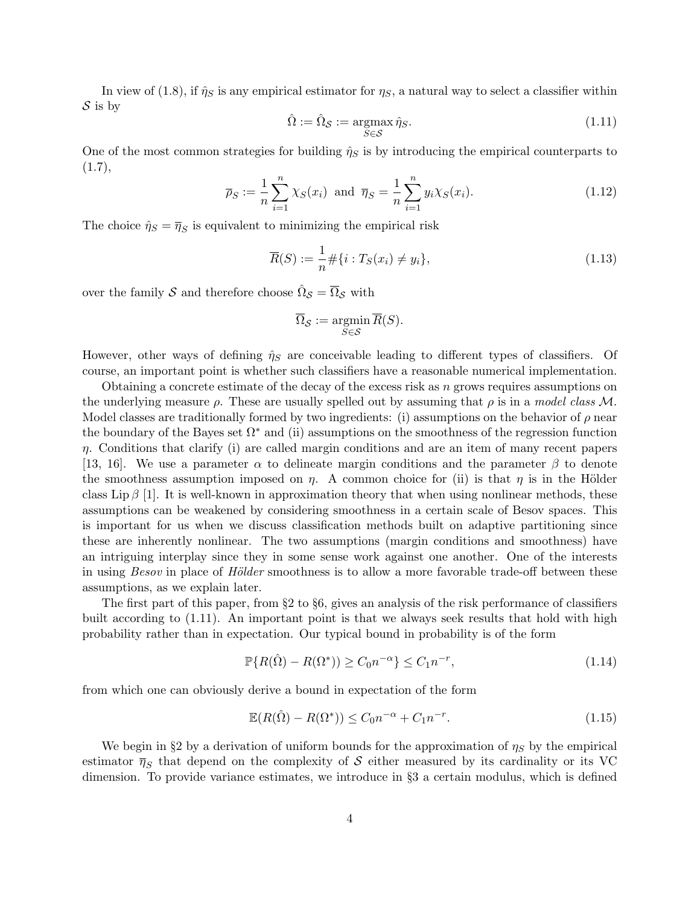In view of (1.8), if  $\hat{\eta}_S$  is any empirical estimator for  $\eta_S$ , a natural way to select a classifier within  $S$  is by

$$
\hat{\Omega} := \hat{\Omega}_{\mathcal{S}} := \underset{S \in \mathcal{S}}{\operatorname{argmax}} \hat{\eta}_S. \tag{1.11}
$$

One of the most common strategies for building  $\hat{\eta}_S$  is by introducing the empirical counterparts to  $(1.7),$ 

$$
\overline{\rho}_S := \frac{1}{n} \sum_{i=1}^n \chi_S(x_i) \text{ and } \overline{\eta}_S = \frac{1}{n} \sum_{i=1}^n y_i \chi_S(x_i). \tag{1.12}
$$

The choice  $\hat{\eta}_S = \overline{\eta}_S$  is equivalent to minimizing the empirical risk

$$
\overline{R}(S) := \frac{1}{n} \# \{ i : T_S(x_i) \neq y_i \},\tag{1.13}
$$

over the family  $\mathcal S$  and therefore choose  $\hat \Omega_{\mathcal S} = \overline{\Omega}_{\mathcal S}$  with

$$
\overline{\Omega}_{\mathcal{S}} := \operatorname*{argmin}_{S \in \mathcal{S}} \overline{R}(S).
$$

However, other ways of defining  $\hat{\eta}_S$  are conceivable leading to different types of classifiers. Of course, an important point is whether such classifiers have a reasonable numerical implementation.

Obtaining a concrete estimate of the decay of the excess risk as  $n$  grows requires assumptions on the underlying measure  $\rho$ . These are usually spelled out by assuming that  $\rho$  is in a model class M. Model classes are traditionally formed by two ingredients: (i) assumptions on the behavior of  $\rho$  near the boundary of the Bayes set  $\Omega^*$  and (ii) assumptions on the smoothness of the regression function  $\eta$ . Conditions that clarify (i) are called margin conditions and are an item of many recent papers [13, 16]. We use a parameter  $\alpha$  to delineate margin conditions and the parameter  $\beta$  to denote the smoothness assumption imposed on  $\eta$ . A common choice for (ii) is that  $\eta$  is in the Hölder class Lip  $\beta$  [1]. It is well-known in approximation theory that when using nonlinear methods, these assumptions can be weakened by considering smoothness in a certain scale of Besov spaces. This is important for us when we discuss classification methods built on adaptive partitioning since these are inherently nonlinear. The two assumptions (margin conditions and smoothness) have an intriguing interplay since they in some sense work against one another. One of the interests in using  $Besov$  in place of Hölder smoothness is to allow a more favorable trade-off between these assumptions, as we explain later.

The first part of this paper, from §2 to §6, gives an analysis of the risk performance of classifiers built according to (1.11). An important point is that we always seek results that hold with high probability rather than in expectation. Our typical bound in probability is of the form

$$
\mathbb{P}\{R(\hat{\Omega}) - R(\Omega^*)\} \ge C_0 n^{-\alpha} \} \le C_1 n^{-r},\tag{1.14}
$$

from which one can obviously derive a bound in expectation of the form

$$
\mathbb{E}(R(\hat{\Omega}) - R(\Omega^*)) \le C_0 n^{-\alpha} + C_1 n^{-r}.
$$
\n(1.15)

We begin in §2 by a derivation of uniform bounds for the approximation of  $\eta_s$  by the empirical estimator  $\bar{\eta}_S$  that depend on the complexity of S either measured by its cardinality or its VC dimension. To provide variance estimates, we introduce in §3 a certain modulus, which is defined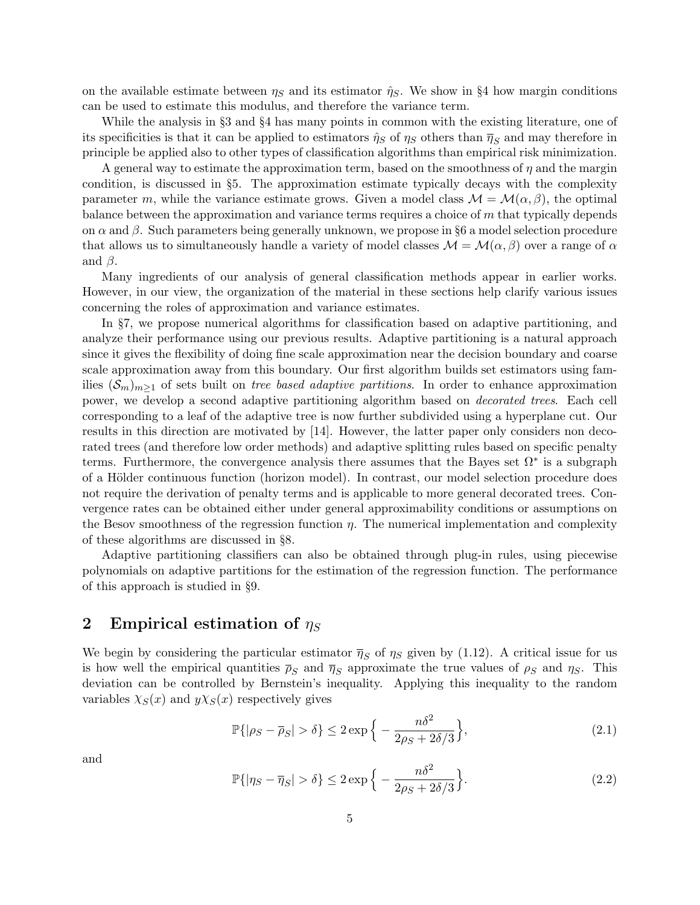on the available estimate between  $\eta_S$  and its estimator  $\hat{\eta}_S$ . We show in §4 how margin conditions can be used to estimate this modulus, and therefore the variance term.

While the analysis in §3 and §4 has many points in common with the existing literature, one of its specificities is that it can be applied to estimators  $\hat{\eta}_S$  of  $\eta_S$  others than  $\overline{\eta}_S$  and may therefore in principle be applied also to other types of classification algorithms than empirical risk minimization.

A general way to estimate the approximation term, based on the smoothness of  $\eta$  and the margin condition, is discussed in §5. The approximation estimate typically decays with the complexity parameter m, while the variance estimate grows. Given a model class  $\mathcal{M} = \mathcal{M}(\alpha, \beta)$ , the optimal balance between the approximation and variance terms requires a choice of  $m$  that typically depends on  $\alpha$  and  $\beta$ . Such parameters being generally unknown, we propose in §6 a model selection procedure that allows us to simultaneously handle a variety of model classes  $\mathcal{M} = \mathcal{M}(\alpha, \beta)$  over a range of  $\alpha$ and  $\beta$ .

Many ingredients of our analysis of general classification methods appear in earlier works. However, in our view, the organization of the material in these sections help clarify various issues concerning the roles of approximation and variance estimates.

In §7, we propose numerical algorithms for classification based on adaptive partitioning, and analyze their performance using our previous results. Adaptive partitioning is a natural approach since it gives the flexibility of doing fine scale approximation near the decision boundary and coarse scale approximation away from this boundary. Our first algorithm builds set estimators using families  $(\mathcal{S}_m)_{m\geq 1}$  of sets built on tree based adaptive partitions. In order to enhance approximation power, we develop a second adaptive partitioning algorithm based on decorated trees. Each cell corresponding to a leaf of the adaptive tree is now further subdivided using a hyperplane cut. Our results in this direction are motivated by [14]. However, the latter paper only considers non decorated trees (and therefore low order methods) and adaptive splitting rules based on specific penalty terms. Furthermore, the convergence analysis there assumes that the Bayes set  $\Omega^*$  is a subgraph of a Hölder continuous function (horizon model). In contrast, our model selection procedure does not require the derivation of penalty terms and is applicable to more general decorated trees. Convergence rates can be obtained either under general approximability conditions or assumptions on the Besov smoothness of the regression function  $\eta$ . The numerical implementation and complexity of these algorithms are discussed in §8.

Adaptive partitioning classifiers can also be obtained through plug-in rules, using piecewise polynomials on adaptive partitions for the estimation of the regression function. The performance of this approach is studied in §9.

### 2 Empirical estimation of  $\eta_S$

We begin by considering the particular estimator  $\bar{\eta}_S$  of  $\eta_S$  given by (1.12). A critical issue for us is how well the empirical quantities  $\bar{\rho}_S$  and  $\bar{\eta}_S$  approximate the true values of  $\rho_S$  and  $\eta_S$ . This deviation can be controlled by Bernstein's inequality. Applying this inequality to the random variables  $\chi_S(x)$  and  $y\chi_S(x)$  respectively gives

$$
\mathbb{P}\{|\rho_S - \overline{\rho}_S| > \delta\} \le 2 \exp\left\{-\frac{n\delta^2}{2\rho_S + 2\delta/3}\right\},\tag{2.1}
$$

and

$$
\mathbb{P}\{|\eta_S - \overline{\eta}_S| > \delta\} \le 2 \exp\left\{-\frac{n\delta^2}{2\rho_S + 2\delta/3}\right\}.\tag{2.2}
$$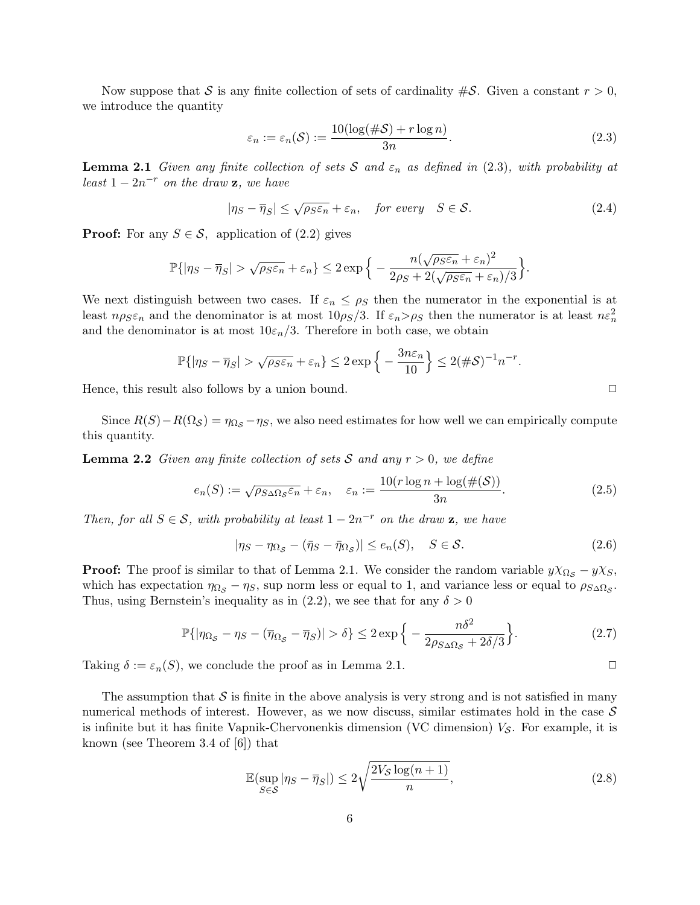Now suppose that S is any finite collection of sets of cardinality  $\#\mathcal{S}$ . Given a constant  $r > 0$ , we introduce the quantity

$$
\varepsilon_n := \varepsilon_n(\mathcal{S}) := \frac{10(\log(\#\mathcal{S}) + r \log n)}{3n}.
$$
\n(2.3)

**Lemma 2.1** Given any finite collection of sets S and  $\varepsilon_n$  as defined in (2.3), with probability at least  $1 - 2n^{-r}$  on the draw **z**, we have

$$
|\eta_S - \overline{\eta}_S| \le \sqrt{\rho_S \varepsilon_n} + \varepsilon_n, \quad \text{for every} \quad S \in \mathcal{S}.
$$
 (2.4)

**Proof:** For any  $S \in \mathcal{S}$ , application of (2.2) gives

$$
\mathbb{P}\{|\eta_S - \overline{\eta}_S| > \sqrt{\rho_S \varepsilon_n} + \varepsilon_n\} \le 2 \exp\Big\{-\frac{n(\sqrt{\rho_S \varepsilon_n} + \varepsilon_n)^2}{2\rho_S + 2(\sqrt{\rho_S \varepsilon_n} + \varepsilon_n)/3}\Big\}.
$$

We next distinguish between two cases. If  $\varepsilon_n \leq \rho_S$  then the numerator in the exponential is at least  $n\rho_S \varepsilon_n$  and the denominator is at most  $10\rho_S/3$ . If  $\varepsilon_n > \rho_S$  then the numerator is at least  $n \varepsilon_n^2$ and the denominator is at most  $10\varepsilon_n/3$ . Therefore in both case, we obtain

$$
\mathbb{P}\{|\eta_S - \overline{\eta}_S| > \sqrt{\rho_S \varepsilon_n} + \varepsilon_n\} \le 2 \exp\left\{-\frac{3n\varepsilon_n}{10}\right\} \le 2(\#\mathcal{S})^{-1} n^{-r}.
$$

Hence, this result also follows by a union bound.  $\Box$ 

Since  $R(S) - R(\Omega_{\mathcal{S}}) = \eta_{\Omega_{\mathcal{S}}} - \eta_{S}$ , we also need estimates for how well we can empirically compute this quantity.

**Lemma 2.2** Given any finite collection of sets S and any  $r > 0$ , we define

$$
e_n(S) := \sqrt{\rho_{S\Delta\Omega_{\mathcal{S}}}\varepsilon_n} + \varepsilon_n, \quad \varepsilon_n := \frac{10(r\log n + \log(\#(\mathcal{S}))}{3n}.
$$
 (2.5)

Then, for all  $S \in \mathcal{S}$ , with probability at least  $1 - 2n^{-r}$  on the draw **z**, we have

$$
|\eta_S - \eta_{\Omega_S} - (\bar{\eta}_S - \bar{\eta}_{\Omega_S})| \le e_n(S), \quad S \in \mathcal{S}.
$$
 (2.6)

**Proof:** The proof is similar to that of Lemma 2.1. We consider the random variable  $y\chi_{\Omega_{\mathcal{S}}}-y\chi_{\mathcal{S}},$ which has expectation  $\eta_{\Omega_{\mathcal{S}}}-\eta_{\mathcal{S}}$ , sup norm less or equal to 1, and variance less or equal to  $\rho_{\mathcal{S}\Delta\Omega_{\mathcal{S}}}$ . Thus, using Bernstein's inequality as in (2.2), we see that for any  $\delta > 0$ 

$$
\mathbb{P}\{|\eta_{\Omega_{\mathcal{S}}}-\eta_{\mathcal{S}}-(\overline{\eta}_{\Omega_{\mathcal{S}}}-\overline{\eta}_{\mathcal{S}})|>\delta\} \leq 2\exp\Big\{-\frac{n\delta^2}{2\rho_{\mathcal{S}\Delta\Omega_{\mathcal{S}}}+2\delta/3}\Big\}.
$$
 (2.7)

Taking  $\delta := \varepsilon_n(S)$ , we conclude the proof as in Lemma 2.1.

The assumption that  $S$  is finite in the above analysis is very strong and is not satisfied in many numerical methods of interest. However, as we now discuss, similar estimates hold in the case  $\mathcal S$ is infinite but it has finite Vapnik-Chervonenkis dimension (VC dimension)  $V_{\mathcal{S}}$ . For example, it is known (see Theorem 3.4 of [6]) that

$$
\mathbb{E}(\sup_{S \in \mathcal{S}} |\eta_S - \overline{\eta}_S|) \le 2\sqrt{\frac{2V_{\mathcal{S}}\log(n+1)}{n}},\tag{2.8}
$$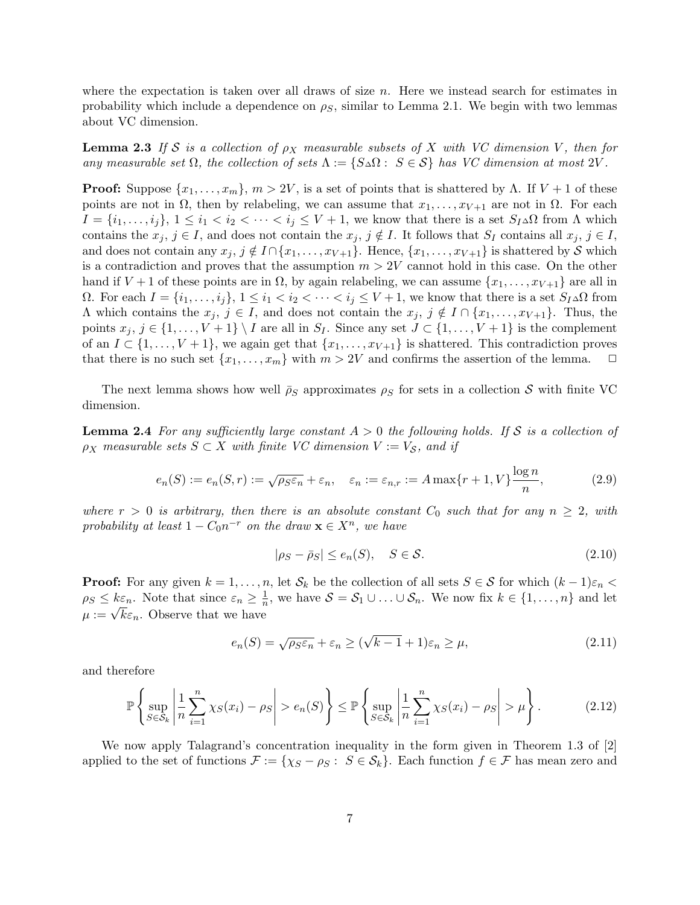where the expectation is taken over all draws of size  $n$ . Here we instead search for estimates in probability which include a dependence on  $\rho_s$ , similar to Lemma 2.1. We begin with two lemmas about VC dimension.

**Lemma 2.3** If S is a collection of  $\rho_X$  measurable subsets of X with VC dimension V, then for any measurable set  $\Omega$ , the collection of sets  $\Lambda := \{S \triangle \Omega : S \in \mathcal{S}\}\$  has VC dimension at most  $2V$ .

**Proof:** Suppose  $\{x_1, \ldots, x_m\}$ ,  $m > 2V$ , is a set of points that is shattered by  $\Lambda$ . If  $V + 1$  of these points are not in  $\Omega$ , then by relabeling, we can assume that  $x_1, \ldots, x_{V+1}$  are not in  $\Omega$ . For each  $I = \{i_1, \ldots, i_j\}, 1 \leq i_1 < i_2 < \cdots < i_j \leq V + 1$ , we know that there is a set  $S_I \Delta \Omega$  from  $\Lambda$  which contains the  $x_j, j \in I$ , and does not contain the  $x_j, j \notin I$ . It follows that  $S_I$  contains all  $x_j, j \in I$ , and does not contain any  $x_j$ ,  $j \notin I \cap \{x_1, \ldots, x_{V+1}\}.$  Hence,  $\{x_1, \ldots, x_{V+1}\}$  is shattered by S which is a contradiction and proves that the assumption  $m > 2V$  cannot hold in this case. On the other hand if  $V + 1$  of these points are in  $\Omega$ , by again relabeling, we can assume  $\{x_1, \ldots, x_{V+1}\}$  are all in Ω. For each  $I = \{i_1, \ldots, i_j\}$ ,  $1 \leq i_1 < i_2 < \cdots < i_j \leq V + 1$ , we know that there is a set  $S_I$ ∆Ω from  $\Lambda$  which contains the  $x_j, j \in I$ , and does not contain the  $x_j, j \notin I \cap \{x_1, \ldots, x_{V+1}\}.$  Thus, the points  $x_j, j \in \{1, ..., V + 1\} \setminus I$  are all in  $S_I$ . Since any set  $J \subset \{1, ..., V + 1\}$  is the complement of an  $I \subset \{1, \ldots, V+1\}$ , we again get that  $\{x_1, \ldots, x_{V+1}\}$  is shattered. This contradiction proves that there is no such set  $\{x_1, \ldots, x_m\}$  with  $m > 2V$  and confirms the assertion of the lemma.  $\Box$ 

The next lemma shows how well  $\bar{\rho}_S$  approximates  $\rho_S$  for sets in a collection S with finite VC dimension.

**Lemma 2.4** For any sufficiently large constant  $A > 0$  the following holds. If S is a collection of  $\rho_X$  measurable sets  $S \subset X$  with finite VC dimension  $V := V_S$ , and if

$$
e_n(S) := e_n(S, r) := \sqrt{\rho_S \varepsilon_n} + \varepsilon_n, \quad \varepsilon_n := \varepsilon_{n,r} := A \max\{r+1, V\} \frac{\log n}{n},\tag{2.9}
$$

where  $r > 0$  is arbitrary, then there is an absolute constant  $C_0$  such that for any  $n \geq 2$ , with probability at least  $1 - C_0 n^{-r}$  on the draw  $\mathbf{x} \in X^n$ , we have

$$
|\rho_S - \bar{\rho}_S| \le e_n(S), \quad S \in \mathcal{S}.
$$
\n(2.10)

**Proof:** For any given  $k = 1, \ldots, n$ , let  $S_k$  be the collection of all sets  $S \in S$  for which  $(k-1)\varepsilon_n <$  $\rho_S \leq k \varepsilon_n$ . Note that since  $\varepsilon_n \geq \frac{1}{n}$  $\frac{1}{n}$ , we have  $S = S_1 \cup ... \cup S_n$ . We now fix  $k \in \{1, ..., n\}$  and let  $\mu_{\mathcal{B}} \leq \kappa \varepsilon_n$ . Note that since  $\varepsilon_n \leq \frac{\pi}{n}$ <br> $\mu := \sqrt{k} \varepsilon_n$ . Observe that we have

$$
e_n(S) = \sqrt{\rho_S \varepsilon_n} + \varepsilon_n \ge (\sqrt{k-1} + 1)\varepsilon_n \ge \mu,
$$
\n(2.11)

and therefore

$$
\mathbb{P}\left\{\sup_{S\in\mathcal{S}_k}\left|\frac{1}{n}\sum_{i=1}^n\chi_S(x_i)-\rho_S\right|>e_n(S)\right\}\leq \mathbb{P}\left\{\sup_{S\in\mathcal{S}_k}\left|\frac{1}{n}\sum_{i=1}^n\chi_S(x_i)-\rho_S\right|>\mu\right\}.\tag{2.12}
$$

We now apply Talagrand's concentration inequality in the form given in Theorem 1.3 of [2] applied to the set of functions  $\mathcal{F} := \{ \chi_S - \rho_S : S \in \mathcal{S}_k \}.$  Each function  $f \in \mathcal{F}$  has mean zero and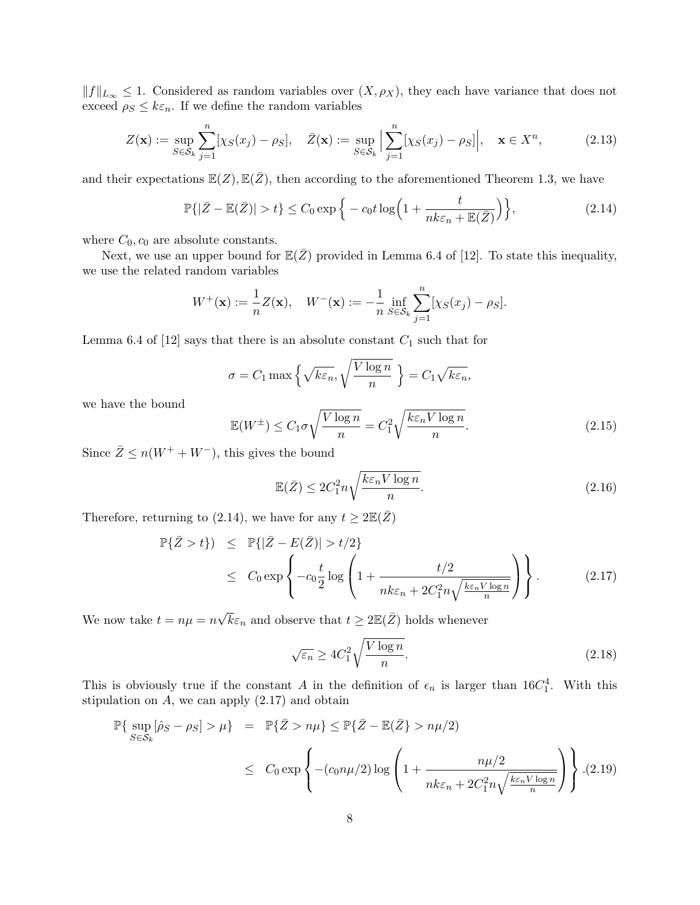$||f||_{L_{\infty}} \leq 1$ . Considered as random variables over  $(X, \rho_X)$ , they each have variance that does not exceed  $\rho_S \leq k \varepsilon_n$ . If we define the random variables

$$
Z(\mathbf{x}) := \sup_{S \in \mathcal{S}_k} \sum_{j=1}^n [\chi_S(x_j) - \rho_S], \quad \bar{Z}(\mathbf{x}) := \sup_{S \in \mathcal{S}_k} \Big| \sum_{j=1}^n [\chi_S(x_j) - \rho_S] \Big|, \quad \mathbf{x} \in X^n,
$$
 (2.13)

and their expectations  $\mathbb{E}(Z), \mathbb{E}(\bar{Z})$ , then according to the aforementioned Theorem 1.3, we have

$$
\mathbb{P}\{|\bar{Z} - \mathbb{E}(\bar{Z})| > t\} \le C_0 \exp\Big\{-c_0 t \log\Big(1 + \frac{t}{nk\varepsilon_n + \mathbb{E}(\bar{Z})}\Big)\Big\},\tag{2.14}
$$

where  $C_0$ ,  $c_0$  are absolute constants.

Next, we use an upper bound for  $\mathbb{E}(\bar{Z})$  provided in Lemma 6.4 of [12]. To state this inequality, we use the related random variables

$$
W^{+}(\mathbf{x}) := \frac{1}{n}Z(\mathbf{x}), \quad W^{-}(\mathbf{x}) := -\frac{1}{n}\inf_{S \in \mathcal{S}_k} \sum_{j=1}^{n} [\chi_S(x_j) - \rho_S].
$$

Lemma 6.4 of [12] says that there is an absolute constant  $C_1$  such that for

$$
\sigma = C_1 \max \left\{ \sqrt{k \varepsilon_n}, \sqrt{\frac{V \log n}{n}} \right\} = C_1 \sqrt{k \varepsilon_n},
$$

we have the bound

$$
\mathbb{E}(W^{\pm}) \le C_1 \sigma \sqrt{\frac{V \log n}{n}} = C_1^2 \sqrt{\frac{k \varepsilon_n V \log n}{n}}.
$$
\n(2.15)

Since  $\overline{Z} \leq n(W^+ + W^-)$ , this gives the bound

$$
\mathbb{E}(\bar{Z}) \le 2C_1^2 n \sqrt{\frac{k \varepsilon_n V \log n}{n}}.\tag{2.16}
$$

Therefore, returning to (2.14), we have for any  $t \geq 2\mathbb{E}(\bar{Z})$ 

$$
\mathbb{P}\{\bar{Z} > t\} \leq \mathbb{P}\{|\bar{Z} - E(\bar{Z})| > t/2\}
$$
\n
$$
\leq C_0 \exp\left\{-c_0 \frac{t}{2} \log \left(1 + \frac{t/2}{nk\varepsilon_n + 2C_1^2 n \sqrt{\frac{k\varepsilon_n V \log n}{n}}}\right)\right\}.
$$
\n(2.17)

We now take  $t = n\mu = n$  $\sqrt{k}\varepsilon_n$  and observe that  $t \geq 2\mathbb{E}(\bar{Z})$  holds whenever

$$
\sqrt{\varepsilon_n} \ge 4C_1^2 \sqrt{\frac{V \log n}{n}}.\tag{2.18}
$$

This is obviously true if the constant A in the definition of  $\epsilon_n$  is larger than 16 $C_1^4$ . With this stipulation on  $A$ , we can apply  $(2.17)$  and obtain

$$
\mathbb{P}\{\sup_{S \in \mathcal{S}_k} [\hat{\rho}_S - \rho_S] > \mu\} = \mathbb{P}\{\bar{Z} > n\mu\} \le \mathbb{P}\{\bar{Z} - \mathbb{E}(\bar{Z}) > n\mu/2\}
$$
  

$$
\le C_0 \exp\left\{ -(c_0 n\mu/2) \log \left( 1 + \frac{n\mu/2}{nk\varepsilon_n + 2C_1^2 n \sqrt{\frac{k\varepsilon_n V \log n}{n}} } \right) \right\}.
$$
(2.19)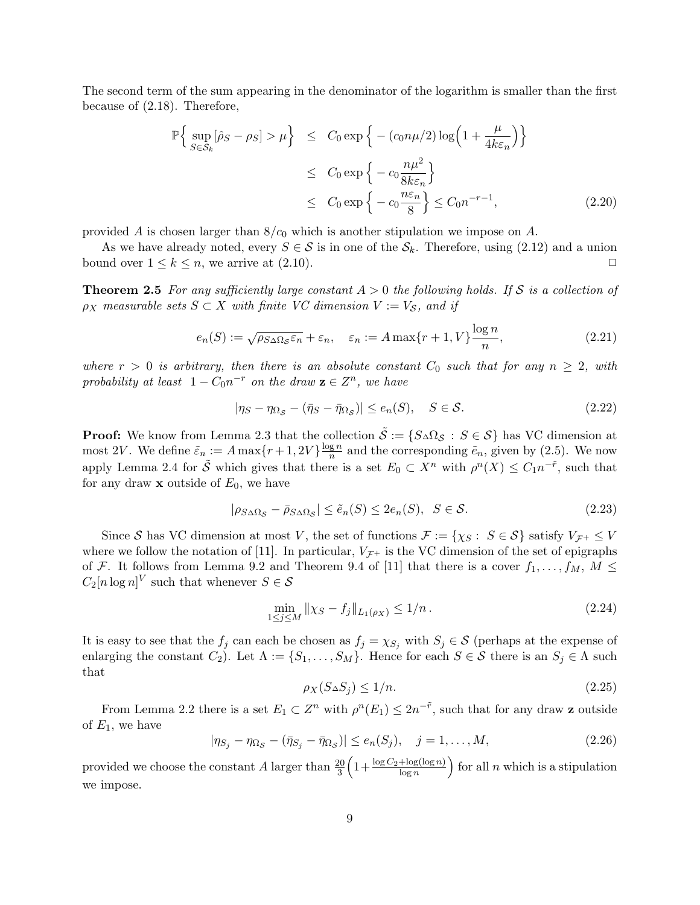The second term of the sum appearing in the denominator of the logarithm is smaller than the first because of (2.18). Therefore,

$$
\mathbb{P}\Big\{\sup_{S\in\mathcal{S}_k}[\hat{\rho}_S - \rho_S] > \mu\Big\} \le C_0 \exp\Big\{- (c_0 n\mu/2) \log\Big(1 + \frac{\mu}{4k\varepsilon_n}\Big)\Big\}
$$
  
\n
$$
\le C_0 \exp\Big\{-c_0 \frac{n\mu^2}{8k\varepsilon_n}\Big\}
$$
  
\n
$$
\le C_0 \exp\Big\{-c_0 \frac{n\varepsilon_n}{8}\Big\} \le C_0 n^{-r-1},
$$
 (2.20)

provided A is chosen larger than  $8/c<sub>0</sub>$  which is another stipulation we impose on A.

As we have already noted, every  $S \in \mathcal{S}$  is in one of the  $\mathcal{S}_k$ . Therefore, using (2.12) and a union bound over  $1 \leq k \leq n$ , we arrive at  $(2.10)$ .

**Theorem 2.5** For any sufficiently large constant  $A > 0$  the following holds. If S is a collection of  $\rho_X$  measurable sets  $S \subset X$  with finite VC dimension  $V := V_S$ , and if

$$
e_n(S) := \sqrt{\rho_{S\Delta\Omega_S} \varepsilon_n} + \varepsilon_n, \quad \varepsilon_n := A \max\{r+1, V\} \frac{\log n}{n},\tag{2.21}
$$

where  $r > 0$  is arbitrary, then there is an absolute constant  $C_0$  such that for any  $n \geq 2$ , with probability at least  $1 - C_0 n^{-r}$  on the draw  $\mathbf{z} \in \mathbb{Z}^n$ , we have

$$
|\eta_S - \eta_{\Omega_S} - (\bar{\eta}_S - \bar{\eta}_{\Omega_S})| \le e_n(S), \quad S \in \mathcal{S}.
$$
\n(2.22)

**Proof:** We know from Lemma 2.3 that the collection  $\tilde{S} := \{S \triangle \Omega_S : S \in S\}$  has VC dimension at most 2V. We define  $\tilde{\varepsilon}_n := A \max\{r+1, 2V\} \frac{\log n}{n}$  $\frac{g n}{n}$  and the corresponding  $\tilde{e}_n$ , given by (2.5). We now apply Lemma 2.4 for  $\tilde{S}$  which gives that there is a set  $E_0 \subset X^n$  with  $\rho^n(X) \leq C_1 n^{-\tilde{r}}$ , such that for any draw  $x$  outside of  $E_0$ , we have

$$
|\rho_{S\Delta\Omega_{\mathcal{S}}}-\bar{\rho}_{S\Delta\Omega_{\mathcal{S}}}| \leq \tilde{e}_n(S) \leq 2e_n(S), \ \ S \in \mathcal{S}.
$$

Since S has VC dimension at most V, the set of functions  $\mathcal{F} := \{\chi_S : S \in \mathcal{S}\}\$  satisfy  $V_{\mathcal{F}^+} \leq V$ where we follow the notation of [11]. In particular,  $V_{\mathcal{F}^+}$  is the VC dimension of the set of epigraphs of F. It follows from Lemma 9.2 and Theorem 9.4 of [11] that there is a cover  $f_1, \ldots, f_M, M \leq$  $C_2[n \log n]^V$  such that whenever  $S \in \mathcal{S}$ 

$$
\min_{1 \le j \le M} \|\chi_S - f_j\|_{L_1(\rho_X)} \le 1/n. \tag{2.24}
$$

It is easy to see that the  $f_j$  can each be chosen as  $f_j = \chi_{S_j}$  with  $S_j \in \mathcal{S}$  (perhaps at the expense of enlarging the constant  $C_2$ ). Let  $\Lambda := \{S_1, \ldots, S_M\}$ . Hence for each  $S \in \mathcal{S}$  there is an  $S_j \in \Lambda$  such that

$$
\rho_X(S \triangle S_j) \le 1/n. \tag{2.25}
$$

From Lemma 2.2 there is a set  $E_1 \subset Z^n$  with  $\rho^n(E_1) \leq 2n^{-\tilde{r}}$ , such that for any draw **z** outside of  $E_1$ , we have

$$
|\eta_{S_j} - \eta_{\Omega_{\mathcal{S}}} - (\bar{\eta}_{S_j} - \bar{\eta}_{\Omega_{\mathcal{S}}})| \le e_n(S_j), \quad j = 1, \dots, M,
$$
\n(2.26)

provided we choose the constant A larger than  $\frac{20}{3} \left(1 + \frac{\log C_2 + \log(\log n)}{\log n}\right)$  for all n which is a stipulation we impose.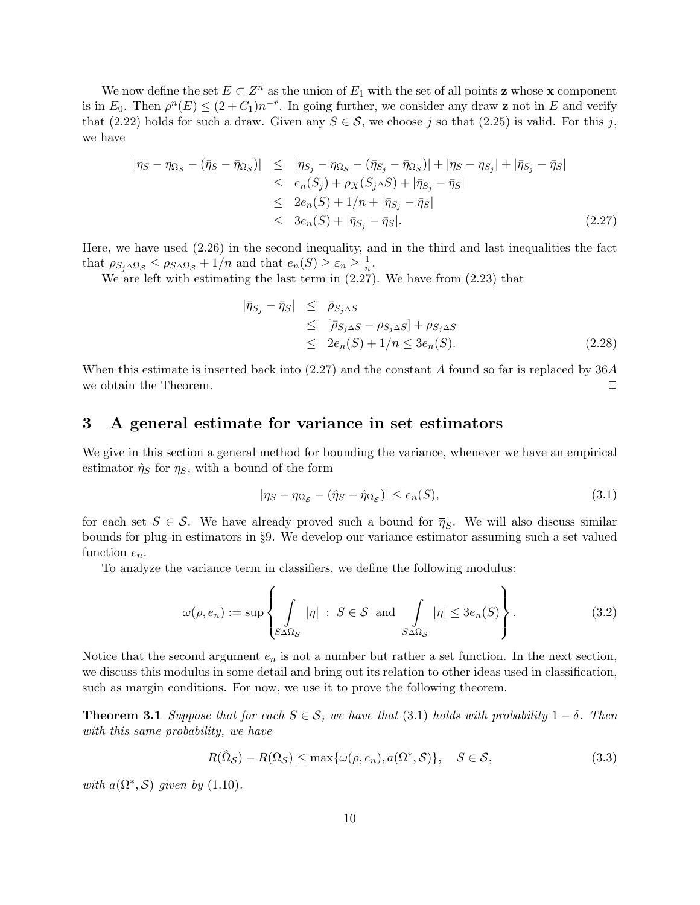We now define the set  $E \subset Z^n$  as the union of  $E_1$  with the set of all points **z** whose **x** component is in  $E_0$ . Then  $\rho^n(E) \le (2+C_1)n^{-\tilde{r}}$ . In going further, we consider any draw **z** not in E and verify that (2.22) holds for such a draw. Given any  $S \in \mathcal{S}$ , we choose j so that (2.25) is valid. For this j, we have

$$
\begin{aligned} |\eta_S - \eta_{\Omega_S} - (\bar{\eta}_S - \bar{\eta}_{\Omega_S})| &\leq | \eta_{S_j} - \eta_{\Omega_S} - (\bar{\eta}_{S_j} - \bar{\eta}_{\Omega_S})| + |\eta_S - \eta_{S_j}| + |\bar{\eta}_{S_j} - \bar{\eta}_S| \\ &\leq e_n(S_j) + \rho_X(S_j \triangle S) + |\bar{\eta}_{S_j} - \bar{\eta}_S| \\ &\leq 2e_n(S) + 1/n + |\bar{\eta}_{S_j} - \bar{\eta}_S| \\ &\leq 3e_n(S) + |\bar{\eta}_{S_j} - \bar{\eta}_S|. \end{aligned} \tag{2.27}
$$

Here, we have used (2.26) in the second inequality, and in the third and last inequalities the fact that  $\rho_{S_j \Delta \Omega_S} \leq \rho_{S \Delta \Omega_S} + 1/n$  and that  $e_n(S) \geq \varepsilon_n \geq \frac{1}{n}$  $\frac{1}{n}$ .

We are left with estimating the last term in (2.27). We have from (2.23) that

$$
\begin{aligned}\n|\bar{\eta}_{S_j} - \bar{\eta}_S| &\leq \bar{\rho}_{S_j \Delta S} \\
&\leq \left[ \bar{\rho}_{S_j \Delta S} - \rho_{S_j \Delta S} \right] + \rho_{S_j \Delta S} \\
&\leq 2e_n(S) + 1/n \leq 3e_n(S).\n\end{aligned} \tag{2.28}
$$

When this estimate is inserted back into (2.27) and the constant A found so far is replaced by 36A we obtain the Theorem.  $\Box$ 

### 3 A general estimate for variance in set estimators

We give in this section a general method for bounding the variance, whenever we have an empirical estimator  $\hat{\eta}_S$  for  $\eta_S$ , with a bound of the form

$$
|\eta_S - \eta_{\Omega_S} - (\hat{\eta}_S - \hat{\eta}_{\Omega_S})| \le e_n(S),\tag{3.1}
$$

for each set  $S \in \mathcal{S}$ . We have already proved such a bound for  $\overline{\eta}_S$ . We will also discuss similar bounds for plug-in estimators in §9. We develop our variance estimator assuming such a set valued function  $e_n$ .

To analyze the variance term in classifiers, we define the following modulus:

$$
\omega(\rho, e_n) := \sup \left\{ \int_{S \Delta \Omega_S} |\eta| \, : \, S \in \mathcal{S} \text{ and } \int_{S \Delta \Omega_S} |\eta| \le 3 e_n(S) \right\}. \tag{3.2}
$$

Notice that the second argument  $e_n$  is not a number but rather a set function. In the next section, we discuss this modulus in some detail and bring out its relation to other ideas used in classification, such as margin conditions. For now, we use it to prove the following theorem.

**Theorem 3.1** Suppose that for each  $S \in \mathcal{S}$ , we have that (3.1) holds with probability  $1 - \delta$ . Then with this same probability, we have

$$
R(\hat{\Omega}_{\mathcal{S}}) - R(\Omega_{\mathcal{S}}) \le \max\{\omega(\rho, e_n), a(\Omega^*, \mathcal{S})\}, \quad S \in \mathcal{S},
$$
\n(3.3)

with  $a(\Omega^*, \mathcal{S})$  given by (1.10).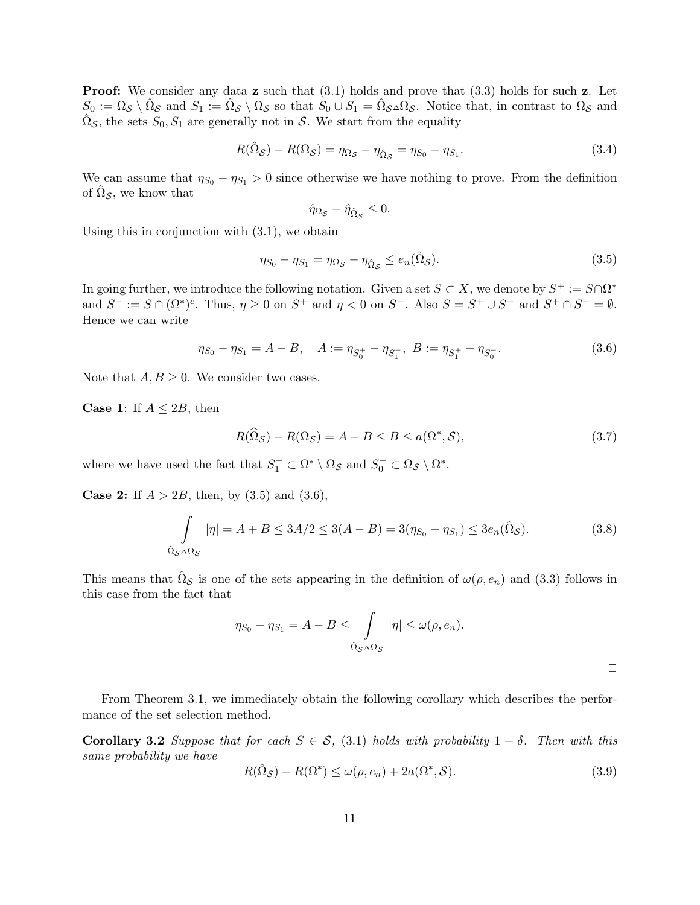**Proof:** We consider any data **z** such that  $(3.1)$  holds and prove that  $(3.3)$  holds for such **z**. Let  $S_0 := \Omega_{\mathcal{S}} \setminus \hat{\Omega}_{\mathcal{S}}$  and  $S_1 := \hat{\Omega}_{\mathcal{S}} \setminus \Omega_{\mathcal{S}}$  so that  $S_0 \cup S_1 = \hat{\Omega}_{\mathcal{S}} \Delta \Omega_{\mathcal{S}}$ . Notice that, in contrast to  $\Omega_{\mathcal{S}}$  and  $\hat{\Omega}_{\mathcal{S}}$ , the sets  $S_0, S_1$  are generally not in  $\mathcal{S}$ . We start from the equality

$$
R(\hat{\Omega}_{\mathcal{S}}) - R(\Omega_{\mathcal{S}}) = \eta_{\Omega_{\mathcal{S}}} - \eta_{\hat{\Omega}_{\mathcal{S}}} = \eta_{S_0} - \eta_{S_1}.
$$
\n(3.4)

We can assume that  $\eta_{S_0} - \eta_{S_1} > 0$  since otherwise we have nothing to prove. From the definition of  $\hat{\Omega}_{\mathcal{S}}$ , we know that

$$
\hat{\eta}_{\Omega_{\mathcal{S}}} - \hat{\eta}_{\hat{\Omega}_{\mathcal{S}}} \leq 0.
$$

Using this in conjunction with (3.1), we obtain

$$
\eta_{S_0} - \eta_{S_1} = \eta_{\Omega_{\mathcal{S}}} - \eta_{\hat{\Omega}_{\mathcal{S}}} \le e_n(\hat{\Omega}_{\mathcal{S}}). \tag{3.5}
$$

In going further, we introduce the following notation. Given a set  $S \subset X$ , we denote by  $S^+ := S \cap \Omega^*$ and  $S^- := S \cap (\Omega^*)^c$ . Thus,  $\eta \geq 0$  on  $S^+$  and  $\eta < 0$  on  $S^-$ . Also  $S = S^+ \cup S^-$  and  $S^+ \cap S^- = \emptyset$ . Hence we can write

$$
\eta_{S_0} - \eta_{S_1} = A - B, \quad A := \eta_{S_0^+} - \eta_{S_1^-}, \ B := \eta_{S_1^+} - \eta_{S_0^-}.\tag{3.6}
$$

Note that  $A, B \geq 0$ . We consider two cases.

**Case 1:** If  $A \leq 2B$ , then

$$
R(\widehat{\Omega}_{\mathcal{S}}) - R(\Omega_{\mathcal{S}}) = A - B \le B \le a(\Omega^*, \mathcal{S}),\tag{3.7}
$$

where we have used the fact that  $S_1^+ \subset \Omega^* \setminus \Omega_{\mathcal{S}}$  and  $S_0^- \subset \Omega_{\mathcal{S}} \setminus \Omega^*$ .

**Case 2:** If  $A > 2B$ , then, by (3.5) and (3.6),

$$
\int_{\hat{\Omega}_{\mathcal{S}} \Delta \Omega_{\mathcal{S}}} |\eta| = A + B \le 3A/2 \le 3(A - B) = 3(\eta_{S_0} - \eta_{S_1}) \le 3e_n(\hat{\Omega}_{\mathcal{S}}). \tag{3.8}
$$

This means that  $\hat{\Omega}_{\mathcal{S}}$  is one of the sets appearing in the definition of  $\omega(\rho, e_n)$  and (3.3) follows in this case from the fact that

$$
\eta_{S_0} - \eta_{S_1} = A - B \le \int_{\hat{\Omega}_{\mathcal{S}} \Delta \Omega_{\mathcal{S}}} |\eta| \le \omega(\rho, e_n).
$$

From Theorem 3.1, we immediately obtain the following corollary which describes the performance of the set selection method.

Corollary 3.2 Suppose that for each  $S \in \mathcal{S}$ , (3.1) holds with probability  $1 - \delta$ . Then with this same probability we have

$$
R(\hat{\Omega}_{\mathcal{S}}) - R(\Omega^*) \le \omega(\rho, e_n) + 2a(\Omega^*, \mathcal{S}).\tag{3.9}
$$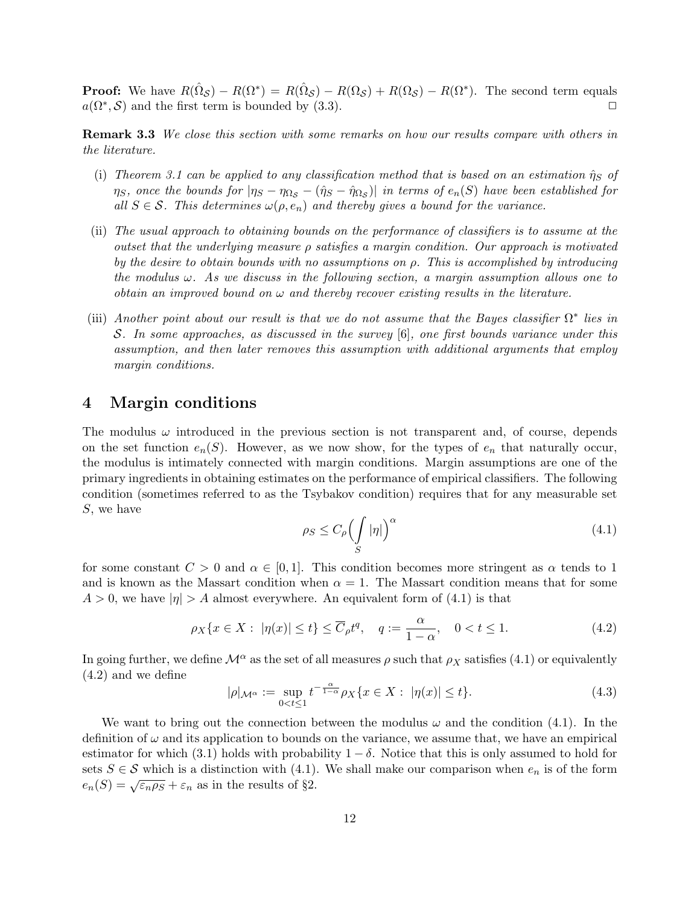**Proof:** We have  $R(\hat{\Omega}_{\mathcal{S}}) - R(\Omega^*) = R(\hat{\Omega}_{\mathcal{S}}) - R(\Omega_{\mathcal{S}}) + R(\Omega_{\mathcal{S}}) - R(\Omega^*)$ . The second term equals  $a(\Omega^*, \mathcal{S})$  and the first term is bounded by (3.3).

**Remark 3.3** We close this section with some remarks on how our results compare with others in the literature.

- (i) Theorem 3.1 can be applied to any classification method that is based on an estimation  $\hat{\eta}_S$  of  $\eta_S,$  once the bounds for  $|\eta_S-\eta_{\Omega_{\cal S}}-(\hat\eta_S-\hat\eta_{\Omega_{\cal S}})|$  in terms of  $e_n(S)$  have been established for all  $S \in \mathcal{S}$ . This determines  $\omega(\rho, e_n)$  and thereby gives a bound for the variance.
- (ii) The usual approach to obtaining bounds on the performance of classifiers is to assume at the outset that the underlying measure  $\rho$  satisfies a margin condition. Our approach is motivated by the desire to obtain bounds with no assumptions on  $\rho$ . This is accomplished by introducing the modulus  $\omega$ . As we discuss in the following section, a margin assumption allows one to obtain an improved bound on  $\omega$  and thereby recover existing results in the literature.
- (iii) Another point about our result is that we do not assume that the Bayes classifier  $\Omega^*$  lies in S. In some approaches, as discussed in the survey [6], one first bounds variance under this assumption, and then later removes this assumption with additional arguments that employ margin conditions.

## 4 Margin conditions

The modulus  $\omega$  introduced in the previous section is not transparent and, of course, depends on the set function  $e_n(S)$ . However, as we now show, for the types of  $e_n$  that naturally occur, the modulus is intimately connected with margin conditions. Margin assumptions are one of the primary ingredients in obtaining estimates on the performance of empirical classifiers. The following condition (sometimes referred to as the Tsybakov condition) requires that for any measurable set S, we have

$$
\rho_S \le C_\rho \Big(\int\limits_S |\eta|\Big)^\alpha\tag{4.1}
$$

for some constant  $C > 0$  and  $\alpha \in [0, 1]$ . This condition becomes more stringent as  $\alpha$  tends to 1 and is known as the Massart condition when  $\alpha = 1$ . The Massart condition means that for some  $A > 0$ , we have  $|\eta| > A$  almost everywhere. An equivalent form of (4.1) is that

$$
\rho_X\{x \in X: \ |\eta(x)| \le t\} \le \overline{C}_{\rho}t^q, \quad q := \frac{\alpha}{1-\alpha}, \quad 0 < t \le 1. \tag{4.2}
$$

In going further, we define  $\mathcal{M}^{\alpha}$  as the set of all measures  $\rho$  such that  $\rho_X$  satisfies (4.1) or equivalently (4.2) and we define

$$
|\rho|_{\mathcal{M}^{\alpha}} := \sup_{0 < t \le 1} t^{-\frac{\alpha}{1-\alpha}} \rho_X \{ x \in X : |\eta(x)| \le t \}. \tag{4.3}
$$

We want to bring out the connection between the modulus  $\omega$  and the condition (4.1). In the definition of  $\omega$  and its application to bounds on the variance, we assume that, we have an empirical estimator for which (3.1) holds with probability  $1 - \delta$ . Notice that this is only assumed to hold for sets  $S \in \mathcal{S}$  which is a distinction with (4.1). We shall make our comparison when  $e_n$  is of the form  $e_n(S) = \sqrt{\varepsilon_n \rho_S} + \varepsilon_n$  as in the results of §2.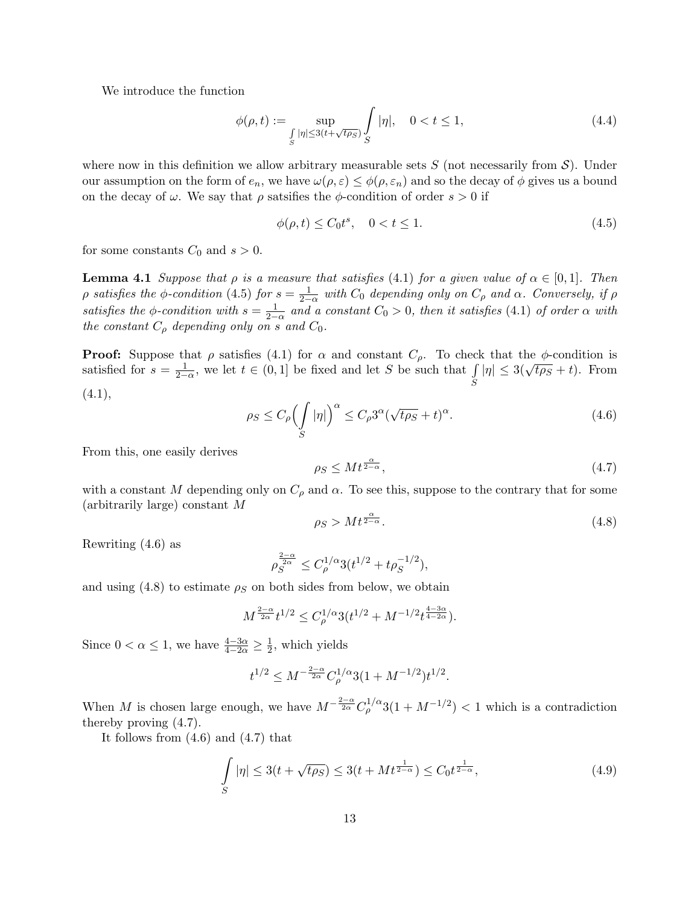We introduce the function

$$
\phi(\rho, t) := \sup_{\substack{\int_{S} |\eta| \le 3(t + \sqrt{t\rho S})}} \int_{S} |\eta|, \quad 0 < t \le 1,
$$
\n(4.4)

where now in this definition we allow arbitrary measurable sets  $S$  (not necessarily from  $S$ ). Under our assumption on the form of  $e_n$ , we have  $\omega(\rho, \varepsilon) \leq \phi(\rho, \varepsilon_n)$  and so the decay of  $\phi$  gives us a bound on the decay of  $\omega$ . We say that  $\rho$  satsifies the  $\phi$ -condition of order  $s > 0$  if

$$
\phi(\rho, t) \le C_0 t^s, \quad 0 < t \le 1. \tag{4.5}
$$

for some constants  $C_0$  and  $s > 0$ .

**Lemma 4.1** Suppose that  $\rho$  is a measure that satisfies (4.1) for a given value of  $\alpha \in [0,1]$ . Then p satisfies the  $\phi$ -condition (4.5) for  $s = \frac{1}{2-\alpha}$  with  $C_0$  depending only on  $C_\rho$  and  $\alpha$ . Conversely, if  $\rho$ satisfies the  $\phi$ -condition with  $s = \frac{1}{2-\alpha}$  and a constant  $C_0 > 0$ , then it satisfies (4.1) of order  $\alpha$  with the constant  $C_{\rho}$  depending only on s and  $C_0$ .

**Proof:** Suppose that  $\rho$  satisfies (4.1) for  $\alpha$  and constant  $C_{\rho}$ . To check that the  $\phi$ -condition is satisfied for  $s = \frac{1}{2-\alpha}$ , we let  $t \in (0,1]$  be fixed and let S be such that  $\int$ S  $|\eta| \leq 3(\sqrt{t\rho_S} + t)$ . From  $(4.1),$ 

$$
\rho_S \le C_\rho \Big(\int\limits_S |\eta|\Big)^\alpha \le C_\rho 3^\alpha (\sqrt{t\rho_S} + t)^\alpha. \tag{4.6}
$$

From this, one easily derives

$$
\rho_S \le M t^{\frac{\alpha}{2-\alpha}},\tag{4.7}
$$

with a constant M depending only on  $C_\rho$  and  $\alpha$ . To see this, suppose to the contrary that for some (arbitrarily large) constant M

$$
\rho_S > Mt^{\frac{\alpha}{2-\alpha}}.\tag{4.8}
$$

Rewriting (4.6) as

$$
\rho_S^{\frac{2-\alpha}{2\alpha}} \le C_\rho^{1/\alpha} 3(t^{1/2} + t\rho_S^{-1/2}),
$$

and using  $(4.8)$  to estimate  $\rho_S$  on both sides from below, we obtain

$$
M^{\frac{2-\alpha}{2\alpha}}t^{1/2}\leq C_{\rho}^{1/\alpha}3(t^{1/2}+M^{-1/2}t^{\frac{4-3\alpha}{4-2\alpha}}).
$$

Since  $0 < \alpha \leq 1$ , we have  $\frac{4-3\alpha}{4-2\alpha} \geq \frac{1}{2}$  $\frac{1}{2}$ , which yields

$$
t^{1/2} \le M^{-\frac{2-\alpha}{2\alpha}} C_{\rho}^{1/\alpha} 3(1 + M^{-1/2}) t^{1/2}.
$$

When M is chosen large enough, we have  $M^{-\frac{2-\alpha}{2\alpha}}C_{\rho}^{1/\alpha}3(1+M^{-1/2}) < 1$  which is a contradiction thereby proving (4.7).

It follows from (4.6) and (4.7) that

$$
\int_{S} |\eta| \le 3(t + \sqrt{t\rho_S}) \le 3(t + Mt^{\frac{1}{2-\alpha}}) \le C_0 t^{\frac{1}{2-\alpha}},
$$
\n(4.9)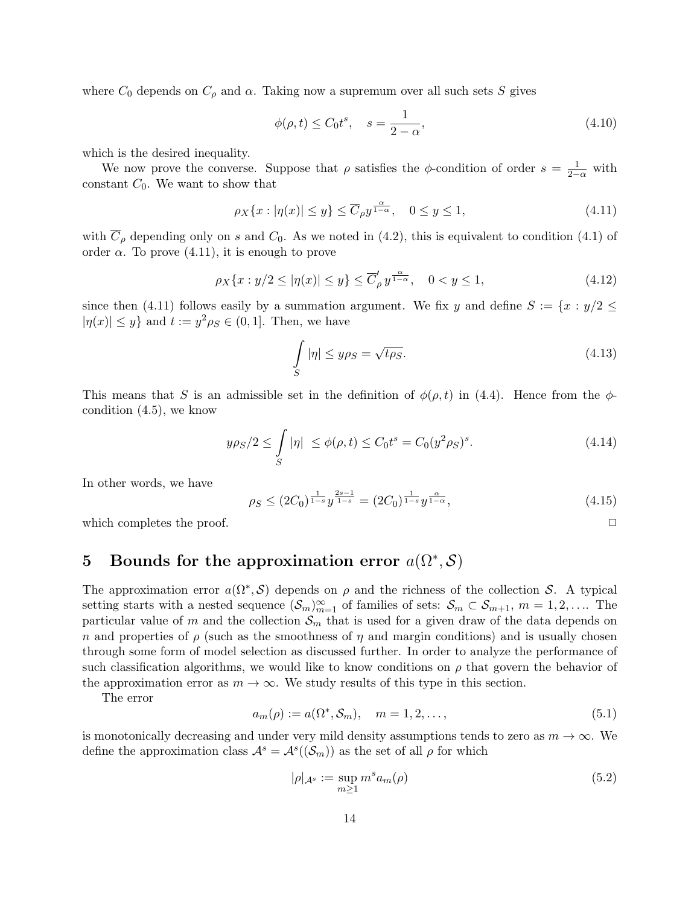where  $C_0$  depends on  $C_\rho$  and  $\alpha$ . Taking now a supremum over all such sets S gives

$$
\phi(\rho, t) \le C_0 t^s, \quad s = \frac{1}{2 - \alpha},\tag{4.10}
$$

which is the desired inequality.

We now prove the converse. Suppose that  $\rho$  satisfies the  $\phi$ -condition of order  $s = \frac{1}{2-\alpha}$  with constant  $C_0$ . We want to show that

$$
\rho_X\{x : |\eta(x)| \le y\} \le \overline{C}_{\rho}y^{\frac{\alpha}{1-\alpha}}, \quad 0 \le y \le 1,\tag{4.11}
$$

with  $\overline{C}_{\rho}$  depending only on s and  $C_0$ . As we noted in (4.2), this is equivalent to condition (4.1) of order  $\alpha$ . To prove (4.11), it is enough to prove

$$
\rho_X\{x : y/2 \le |\eta(x)| \le y\} \le \overline{C}'_p y^{\frac{\alpha}{1-\alpha}}, \quad 0 < y \le 1,\tag{4.12}
$$

since then (4.11) follows easily by a summation argument. We fix y and define  $S := \{x : y/2 \leq$  $|\eta(x)| \leq y$  and  $t := y^2 \rho_S \in (0, 1]$ . Then, we have

$$
\int_{S} |\eta| \le y \rho_S = \sqrt{t \rho_S}.
$$
\n(4.13)

This means that S is an admissible set in the definition of  $\phi(\rho, t)$  in (4.4). Hence from the  $\phi$ condition (4.5), we know

$$
y\rho_S/2 \le \int_S |\eta| \le \phi(\rho, t) \le C_0 t^s = C_0 (y^2 \rho_S)^s. \tag{4.14}
$$

In other words, we have

$$
\rho_S \le (2C_0)^{\frac{1}{1-s}} y^{\frac{2s-1}{1-s}} = (2C_0)^{\frac{1}{1-s}} y^{\frac{\alpha}{1-\alpha}},\tag{4.15}
$$

which completes the proof.  $\Box$ 

# 5 Bounds for the approximation error  $a(\Omega^*, \mathcal{S})$

The approximation error  $a(\Omega^*, \mathcal{S})$  depends on  $\rho$  and the richness of the collection S. A typical setting starts with a nested sequence  $(\mathcal{S}_m)_{m=1}^{\infty}$  of families of sets:  $\mathcal{S}_m \subset \mathcal{S}_{m+1}, m = 1, 2, \ldots$  The particular value of m and the collection  $\mathcal{S}_m$  that is used for a given draw of the data depends on n and properties of  $\rho$  (such as the smoothness of  $\eta$  and margin conditions) and is usually chosen through some form of model selection as discussed further. In order to analyze the performance of such classification algorithms, we would like to know conditions on  $\rho$  that govern the behavior of the approximation error as  $m \to \infty$ . We study results of this type in this section.

The error

$$
a_m(\rho) := a(\Omega^*, \mathcal{S}_m), \quad m = 1, 2, \dots,
$$
\n(5.1)

is monotonically decreasing and under very mild density assumptions tends to zero as  $m \to \infty$ . We define the approximation class  $\mathcal{A}^s = \mathcal{A}^s((\mathcal{S}_m))$  as the set of all  $\rho$  for which

$$
|\rho|_{\mathcal{A}^s} := \sup_{m \ge 1} m^s a_m(\rho) \tag{5.2}
$$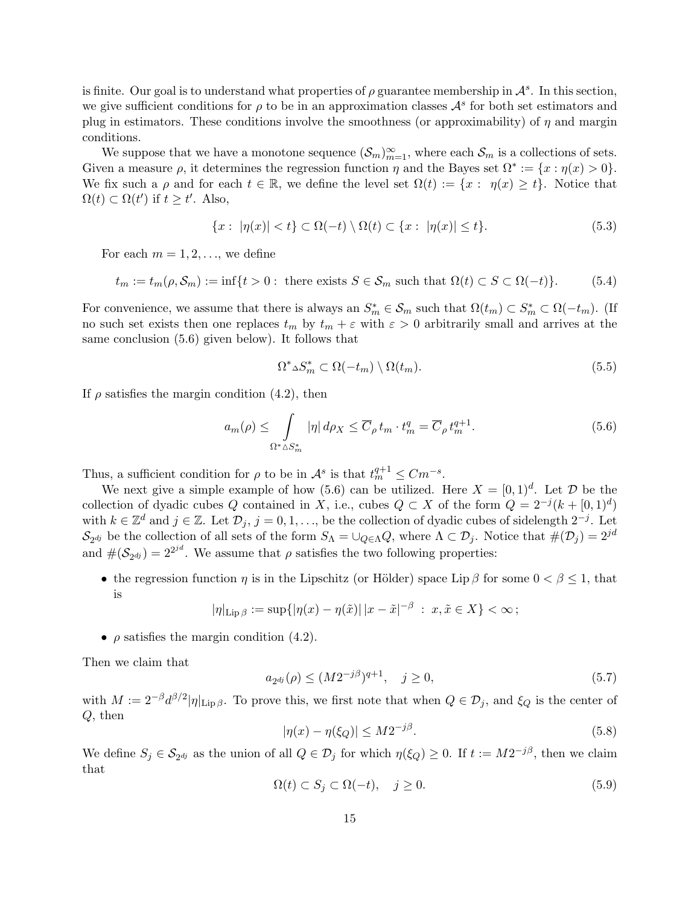is finite. Our goal is to understand what properties of  $\rho$  guarantee membership in  $\mathcal{A}^s$ . In this section, we give sufficient conditions for  $\rho$  to be in an approximation classes  $\mathcal{A}^s$  for both set estimators and plug in estimators. These conditions involve the smoothness (or approximability) of  $\eta$  and margin conditions.

We suppose that we have a monotone sequence  $(\mathcal{S}_m)_{m=1}^{\infty}$ , where each  $\mathcal{S}_m$  is a collections of sets. Given a measure  $\rho$ , it determines the regression function  $\eta$  and the Bayes set  $\Omega^* := \{x : \eta(x) > 0\}.$ We fix such a  $\rho$  and for each  $t \in \mathbb{R}$ , we define the level set  $\Omega(t) := \{x : \eta(x) \geq t\}$ . Notice that  $\Omega(t) \subset \Omega(t')$  if  $t \geq t'$ . Also,

$$
\{x:\ |\eta(x)| < t\} \subset \Omega(-t) \setminus \Omega(t) \subset \{x:\ |\eta(x)| \le t\}. \tag{5.3}
$$

For each  $m = 1, 2, \ldots$ , we define

$$
t_m := t_m(\rho, \mathcal{S}_m) := \inf\{t > 0: \text{ there exists } S \in \mathcal{S}_m \text{ such that } \Omega(t) \subset S \subset \Omega(-t)\}. \tag{5.4}
$$

For convenience, we assume that there is always an  $S_m^* \in \mathcal{S}_m$  such that  $\Omega(t_m) \subset S_m^* \subset \Omega(-t_m)$ . (If no such set exists then one replaces  $t_m$  by  $t_m + \varepsilon$  with  $\varepsilon > 0$  arbitrarily small and arrives at the same conclusion (5.6) given below). It follows that

$$
\Omega^* \Delta S_m^* \subset \Omega(-t_m) \setminus \Omega(t_m). \tag{5.5}
$$

If  $\rho$  satisfies the margin condition (4.2), then

$$
a_m(\rho) \le \int_{\Omega^* \Delta S_m^*} |\eta| \, d\rho_X \le \overline{C}_{\rho} t_m \cdot t_m^q = \overline{C}_{\rho} t_m^{q+1}.
$$

Thus, a sufficient condition for  $\rho$  to be in  $\mathcal{A}^s$  is that  $t_m^{q+1} \leq Cm^{-s}$ .

We next give a simple example of how (5.6) can be utilized. Here  $X = [0, 1]^d$ . Let  $\mathcal D$  be the collection of dyadic cubes Q contained in X, i.e., cubes  $Q \subset X$  of the form  $Q = 2^{-j}(k + [0, 1]^d)$ with  $k \in \mathbb{Z}^d$  and  $j \in \mathbb{Z}$ . Let  $\mathcal{D}_j$ ,  $j = 0, 1, \ldots$ , be the collection of dyadic cubes of sidelength  $2^{-j}$ . Let  $\mathcal{S}_{2^{dj}}$  be the collection of all sets of the form  $S_{\Lambda} = \bigcup_{Q \in \Lambda} Q$ , where  $\Lambda \subset \mathcal{D}_j$ . Notice that  $\#(\mathcal{D}_j) = 2^{jd}$ and  $\#(\mathcal{S}_{2^{dj}}) = 2^{2^{jd}}$ . We assume that  $\rho$  satisfies the two following properties:

• the regression function  $\eta$  is in the Lipschitz (or Hölder) space Lip  $\beta$  for some  $0 < \beta \leq 1$ , that is

$$
|\eta|_{\mathrm{Lip}\,\beta} := \sup\{|\eta(x) - \eta(\tilde{x})| \, |x - \tilde{x}|^{-\beta} \; : \; x, \tilde{x} \in X\} < \infty\,;
$$

•  $\rho$  satisfies the margin condition (4.2).

Then we claim that

$$
a_{2^{dj}}(\rho) \le (M 2^{-j\beta})^{q+1}, \quad j \ge 0,
$$
\n(5.7)

with  $M := 2^{-\beta} d^{\beta/2} |\eta|_{\text{Lip }\beta}$ . To prove this, we first note that when  $Q \in \mathcal{D}_j$ , and  $\xi_Q$  is the center of Q, then

$$
|\eta(x) - \eta(\xi_Q)| \le M 2^{-j\beta}.
$$
\n(5.8)

We define  $S_j \in \mathcal{S}_{2^{dj}}$  as the union of all  $Q \in \mathcal{D}_j$  for which  $\eta(\xi_Q) \geq 0$ . If  $t := M2^{-j\beta}$ , then we claim that

$$
\Omega(t) \subset S_j \subset \Omega(-t), \quad j \ge 0. \tag{5.9}
$$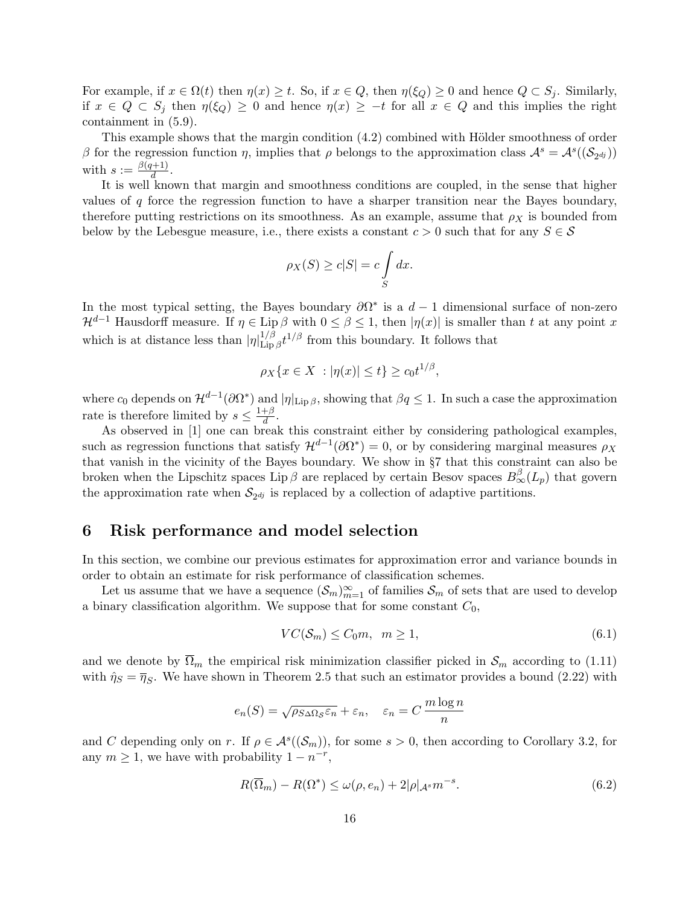For example, if  $x \in \Omega(t)$  then  $\eta(x) \geq t$ . So, if  $x \in Q$ , then  $\eta(\xi_Q) \geq 0$  and hence  $Q \subset S_i$ . Similarly, if  $x \in Q \subset S_j$  then  $\eta(\xi_Q) \geq 0$  and hence  $\eta(x) \geq -t$  for all  $x \in Q$  and this implies the right containment in (5.9).

This example shows that the margin condition  $(4.2)$  combined with Hölder smoothness of order β for the regression function η, implies that ρ belongs to the approximation class  $\mathcal{A}^s = \mathcal{A}^s((\mathcal{S}_{2^{dj}}))$ with  $s := \frac{\beta(q+1)}{d}$  $\frac{l+1}{d}$ .

It is well known that margin and smoothness conditions are coupled, in the sense that higher values of  $q$  force the regression function to have a sharper transition near the Bayes boundary, therefore putting restrictions on its smoothness. As an example, assume that  $\rho_X$  is bounded from below by the Lebesgue measure, i.e., there exists a constant  $c > 0$  such that for any  $S \in \mathcal{S}$ 

$$
\rho_X(S) \ge c|S| = c \int_S dx.
$$

In the most typical setting, the Bayes boundary  $\partial \Omega^*$  is a  $d-1$  dimensional surface of non-zero  $\mathcal{H}^{d-1}$  Hausdorff measure. If  $\eta \in \text{Lip }\beta$  with  $0 \leq \beta \leq 1$ , then  $|\eta(x)|$  is smaller than t at any point x which is at distance less than  $|\eta|_{\text{Lin}}^{1/\beta}$  $\lim_{\text{Lip}\beta} t^{1/\beta}$  from this boundary. It follows that

$$
\rho_X\{x \in X \ : |\eta(x)| \le t\} \ge c_0 t^{1/\beta},
$$

where  $c_0$  depends on  $\mathcal{H}^{d-1}(\partial\Omega^*)$  and  $|\eta|_{\mathrm{Lip}\,\beta}$ , showing that  $\beta q \leq 1$ . In such a case the approximation rate is therefore limited by  $s \leq \frac{1+\beta}{d}$  $\frac{+\beta}{d}$  .

As observed in [1] one can break this constraint either by considering pathological examples, such as regression functions that satisfy  $\mathcal{H}^{d-1}(\partial\Omega^*)=0$ , or by considering marginal measures  $\rho_X$ that vanish in the vicinity of the Bayes boundary. We show in §7 that this constraint can also be broken when the Lipschitz spaces Lip  $\beta$  are replaced by certain Besov spaces  $B_{\infty}^{\beta}(L_p)$  that govern the approximation rate when  $S_{2^{dj}}$  is replaced by a collection of adaptive partitions.

### 6 Risk performance and model selection

In this section, we combine our previous estimates for approximation error and variance bounds in order to obtain an estimate for risk performance of classification schemes.

Let us assume that we have a sequence  $(\mathcal{S}_m)_{m=1}^{\infty}$  of families  $\mathcal{S}_m$  of sets that are used to develop a binary classification algorithm. We suppose that for some constant  $C_0$ ,

$$
VC(\mathcal{S}_m) \le C_0 m, \ \ m \ge 1,\tag{6.1}
$$

and we denote by  $\overline{\Omega}_m$  the empirical risk minimization classifier picked in  $\mathcal{S}_m$  according to (1.11) with  $\hat{\eta}_S = \overline{\eta}_S$ . We have shown in Theorem 2.5 that such an estimator provides a bound (2.22) with

$$
e_n(S) = \sqrt{\rho_{S\Delta\Omega_{\mathcal{S}}}\varepsilon_n} + \varepsilon_n, \quad \varepsilon_n = C\,\frac{m\log n}{n}
$$

and C depending only on r. If  $\rho \in \mathcal{A}^s((\mathcal{S}_m))$ , for some  $s > 0$ , then according to Corollary 3.2, for any  $m \geq 1$ , we have with probability  $1 - n^{-r}$ ,

$$
R(\overline{\Omega}_m) - R(\Omega^*) \le \omega(\rho, e_n) + 2|\rho|_{\mathcal{A}^s} m^{-s}.
$$
\n(6.2)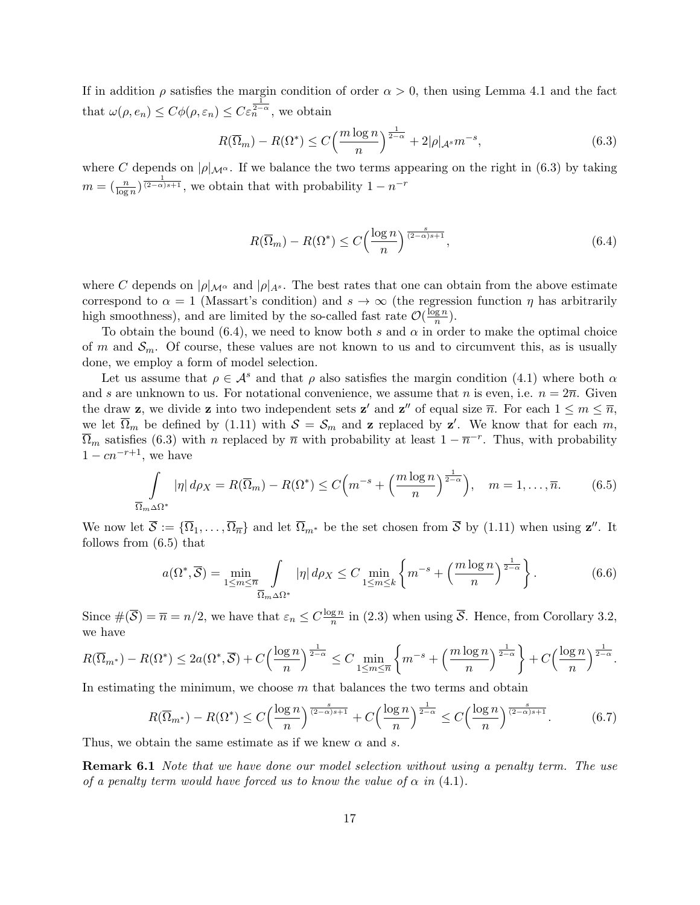If in addition  $\rho$  satisfies the margin condition of order  $\alpha > 0$ , then using Lemma 4.1 and the fact that  $\omega(\rho, e_n) \leq C\phi(\rho, \varepsilon_n) \leq C\varepsilon_n^{\frac{1}{2-\alpha}},$  we obtain

$$
R(\overline{\Omega}_m) - R(\Omega^*) \le C \left(\frac{m \log n}{n}\right)^{\frac{1}{2-\alpha}} + 2|\rho|_{\mathcal{A}^s} m^{-s},\tag{6.3}
$$

where C depends on  $|\rho|_{\mathcal{M}^{\alpha}}$ . If we balance the two terms appearing on the right in (6.3) by taking  $m = \left(\frac{n}{\log n}\right)^{\frac{1}{(2-\alpha)s+1}},$  we obtain that with probability  $1 - n^{-r}$ 

$$
R(\overline{\Omega}_m) - R(\Omega^*) \le C \left(\frac{\log n}{n}\right)^{\frac{s}{(2-\alpha)s+1}},\tag{6.4}
$$

where C depends on  $|\rho|_{\mathcal{M}^{\alpha}}$  and  $|\rho|_{A^{s}}$ . The best rates that one can obtain from the above estimate correspond to  $\alpha = 1$  (Massart's condition) and  $s \to \infty$  (the regression function  $\eta$  has arbitrarily high smoothness), and are limited by the so-called fast rate  $\mathcal{O}(\frac{\log n}{n})$  $\frac{\lg n}{n}$ ).

To obtain the bound (6.4), we need to know both s and  $\alpha$  in order to make the optimal choice of m and  $\mathcal{S}_m$ . Of course, these values are not known to us and to circumvent this, as is usually done, we employ a form of model selection.

Let us assume that  $\rho \in \mathcal{A}^s$  and that  $\rho$  also satisfies the margin condition (4.1) where both  $\alpha$ and s are unknown to us. For notational convenience, we assume that n is even, i.e.  $n = 2\overline{n}$ . Given the draw **z**, we divide **z** into two independent sets **z'** and **z''** of equal size  $\overline{n}$ . For each  $1 \le m \le \overline{n}$ , we let  $\overline{\Omega}_m$  be defined by (1.11) with  $S = S_m$  and **z** replaced by **z'**. We know that for each m,  $\overline{\Omega}_m$  satisfies (6.3) with n replaced by  $\overline{n}$  with probability at least  $1 - \overline{n}^{-r}$ . Thus, with probability  $1 - cn^{-r+1}$ , we have

$$
\int_{\overline{\Omega}_m \Delta \Omega^*} |\eta| d\rho_X = R(\overline{\Omega}_m) - R(\Omega^*) \le C \Big( m^{-s} + \Big( \frac{m \log n}{n} \Big)^{\frac{1}{2-\alpha}} \Big), \quad m = 1, \dots, \overline{n}.
$$
 (6.5)

We now let  $\overline{S} := {\overline{\Omega_1}, \ldots, \overline{\Omega_n}}$  and let  $\overline{\Omega}_{m^*}$  be the set chosen from  $\overline{S}$  by (1.11) when using  $\mathbf{z}''$ . It follows from (6.5) that

$$
a(\Omega^*, \overline{S}) = \min_{1 \le m \le \overline{n}} \int_{\overline{\Omega}_m \Delta \Omega^*} |\eta| d\rho_X \le C \min_{1 \le m \le k} \left\{ m^{-s} + \left( \frac{m \log n}{n} \right)^{\frac{1}{2-\alpha}} \right\}.
$$
 (6.6)

Since  $\#(\overline{\mathcal{S}}) = \overline{n} = n/2$ , we have that  $\varepsilon_n \leq C \frac{\log n}{n}$  $\frac{gn}{n}$  in (2.3) when using S. Hence, from Corollary 3.2, we have

$$
R(\overline{\Omega}_{m^*}) - R(\Omega^*) \le 2a(\Omega^*, \overline{\mathcal{S}}) + C\left(\frac{\log n}{n}\right)^{\frac{1}{2-\alpha}} \le C \min_{1 \le m \le \overline{n}} \left\{ m^{-s} + \left(\frac{m \log n}{n}\right)^{\frac{1}{2-\alpha}} \right\} + C\left(\frac{\log n}{n}\right)^{\frac{1}{2-\alpha}}.
$$

In estimating the minimum, we choose m that balances the two terms and obtain

$$
R(\overline{\Omega}_{m^*}) - R(\Omega^*) \le C \Big(\frac{\log n}{n}\Big)^{\frac{s}{(2-\alpha)s+1}} + C \Big(\frac{\log n}{n}\Big)^{\frac{1}{2-\alpha}} \le C \Big(\frac{\log n}{n}\Big)^{\frac{s}{(2-\alpha)s+1}}.\tag{6.7}
$$

Thus, we obtain the same estimate as if we knew  $\alpha$  and s.

**Remark 6.1** Note that we have done our model selection without using a penalty term. The use of a penalty term would have forced us to know the value of  $\alpha$  in (4.1).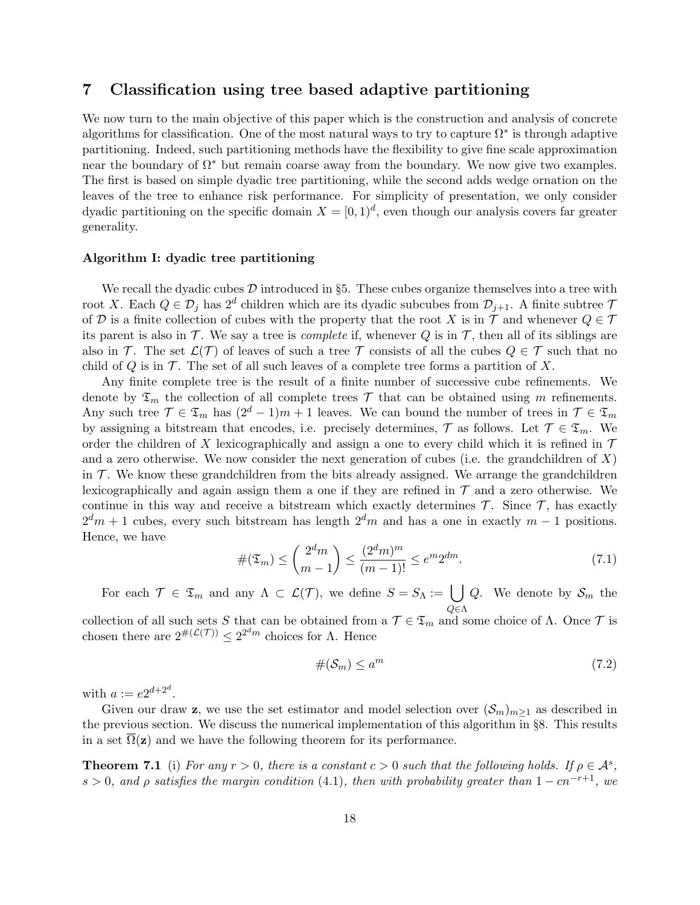### 7 Classification using tree based adaptive partitioning

We now turn to the main objective of this paper which is the construction and analysis of concrete algorithms for classification. One of the most natural ways to try to capture  $\Omega^*$  is through adaptive partitioning. Indeed, such partitioning methods have the flexibility to give fine scale approximation near the boundary of  $\Omega^*$  but remain coarse away from the boundary. We now give two examples. The first is based on simple dyadic tree partitioning, while the second adds wedge ornation on the leaves of the tree to enhance risk performance. For simplicity of presentation, we only consider dyadic partitioning on the specific domain  $X = [0, 1)^d$ , even though our analysis covers far greater generality.

#### Algorithm I: dyadic tree partitioning

We recall the dyadic cubes  $\mathcal D$  introduced in §5. These cubes organize themselves into a tree with root X. Each  $Q \in \mathcal{D}_j$  has  $2^d$  children which are its dyadic subcubes from  $\mathcal{D}_{j+1}$ . A finite subtree 7 of D is a finite collection of cubes with the property that the root X is in  $\mathcal T$  and whenever  $Q \in \mathcal T$ its parent is also in  $\mathcal T$ . We say a tree is *complete* if, whenever  $Q$  is in  $\mathcal T$ , then all of its siblings are also in T. The set  $\mathcal{L}(\mathcal{T})$  of leaves of such a tree T consists of all the cubes  $Q \in \mathcal{T}$  such that no child of  $Q$  is in  $\mathcal T$ . The set of all such leaves of a complete tree forms a partition of X.

Any finite complete tree is the result of a finite number of successive cube refinements. We denote by  $\mathfrak{T}_m$  the collection of all complete trees  $\mathcal T$  that can be obtained using m refinements. Any such tree  $\mathcal{T} \in \mathfrak{T}_m$  has  $(2^d - 1)m + 1$  leaves. We can bound the number of trees in  $\mathcal{T} \in \mathfrak{T}_m$ by assigning a bitstream that encodes, i.e. precisely determines,  $\mathcal{T}$  as follows. Let  $\mathcal{T} \in \mathfrak{T}_m$ . We order the children of X lexicographically and assign a one to every child which it is refined in  $\mathcal T$ and a zero otherwise. We now consider the next generation of cubes (i.e. the grandchildren of  $X$ ) in  $\mathcal{T}$ . We know these grandchildren from the bits already assigned. We arrange the grandchildren lexicographically and again assign them a one if they are refined in  $\mathcal T$  and a zero otherwise. We continue in this way and receive a bitstream which exactly determines  $\mathcal T$ . Since  $\mathcal T$ , has exactly  $2<sup>d</sup>m + 1$  cubes, every such bitstream has length  $2<sup>d</sup>m$  and has a one in exactly  $m - 1$  positions. Hence, we have

$$
\#(\mathfrak{T}_m) \le \binom{2^d m}{m-1} \le \frac{(2^d m)^m}{(m-1)!} \le e^m 2^{dm}.\tag{7.1}
$$

For each  $\mathcal{T} \in \mathfrak{T}_m$  and any  $\Lambda \subset \mathcal{L}(\mathcal{T})$ , we define  $S = S_\Lambda := \emptyset$ Q∈Λ Q. We denote by  $S_m$  the

collection of all such sets S that can be obtained from a  $\mathcal{T} \in \mathfrak{T}_m$  and some choice of  $\Lambda$ . Once  $\mathcal{T}$  is chosen there are  $2^{\#(\mathcal{L}(\mathcal{T}))} \leq 2^{2^d m}$  choices for  $\Lambda$ . Hence

$$
\#(\mathcal{S}_m) \le a^m \tag{7.2}
$$

with  $a := e2^{d+2^d}$ .

Given our draw z, we use the set estimator and model selection over  $(\mathcal{S}_m)_{m>1}$  as described in the previous section. We discuss the numerical implementation of this algorithm in §8. This results in a set  $\Omega(\mathbf{z})$  and we have the following theorem for its performance.

**Theorem 7.1** (i) For any  $r > 0$ , there is a constant  $c > 0$  such that the following holds. If  $\rho \in \mathcal{A}^s$ , s > 0, and  $\rho$  satisfies the margin condition (4.1), then with probability greater than  $1 - cn^{-r+1}$ , we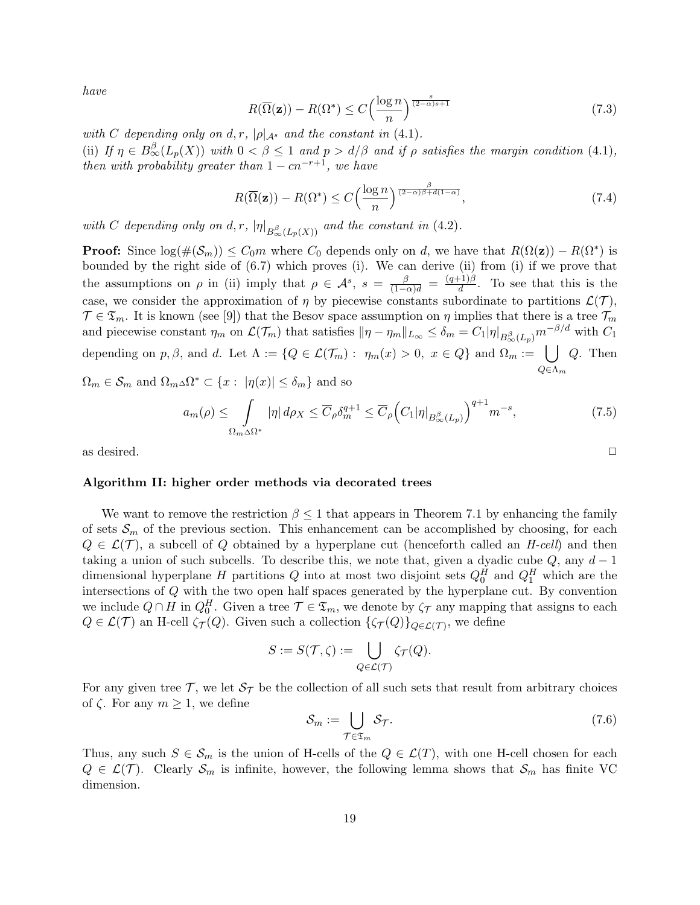have

$$
R(\overline{\Omega}(\mathbf{z})) - R(\Omega^*) \le C \left(\frac{\log n}{n}\right)^{\frac{s}{(2-\alpha)s+1}}\tag{7.3}
$$

with C depending only on d, r,  $|\rho|_{\mathcal{A}^s}$  and the constant in (4.1). (ii) If  $\eta \in B^{\beta}_{\infty}(L_p(X))$  with  $0 < \beta \leq 1$  and  $p > d/\beta$  and if  $\rho$  satisfies the margin condition (4.1), then with probability greater than  $1 - cn^{-r+1}$ , we have

$$
R(\overline{\Omega}(\mathbf{z})) - R(\Omega^*) \le C \left(\frac{\log n}{n}\right)^{\frac{\beta}{(2-\alpha)\beta + d(1-\alpha)}},\tag{7.4}
$$

with C depending only on d, r,  $|\eta|_{B_{\infty}^{\beta}(L_p(X))}$  and the constant in (4.2).

**Proof:** Since  $log(\#(\mathcal{S}_m)) \leq C_0 m$  where  $C_0$  depends only on d, we have that  $R(\Omega(\mathbf{z})) - R(\Omega^*)$  is bounded by the right side of (6.7) which proves (i). We can derive (ii) from (i) if we prove that the assumptions on  $\rho$  in (ii) imply that  $\rho \in \mathcal{A}^s$ ,  $s = \frac{\beta}{(1-\alpha)d} = \frac{(q+1)\beta}{d}$  $\frac{(-1)\beta}{d}$ . To see that this is the case, we consider the approximation of  $\eta$  by piecewise constants subordinate to partitions  $\mathcal{L}(\mathcal{T})$ ,  $\mathcal{T} \in \mathfrak{T}_m$ . It is known (see [9]) that the Besov space assumption on  $\eta$  implies that there is a tree  $\mathcal{T}_m$ and piecewise constant  $\eta_m$  on  $\mathcal{L}(\mathcal{T}_m)$  that satisfies  $\|\eta - \eta_m\|_{L_\infty} \leq \delta_m = C_1 |\eta|_{B^{\beta}_{\infty}(L_p)} m^{-\beta/d}$  with  $C_1$ depending on p,  $\beta$ , and d. Let  $\Lambda := \{Q \in \mathcal{L}(\mathcal{T}_m) : \eta_m(x) > 0, x \in Q\}$  and  $\Omega_m := \bigcup Q$ . Then  $Q \in \Lambda_m$  $Q^* \subset \{x : |n(x)| < \delta \}$ 

$$
\Omega_m \in \mathcal{S}_m
$$
 and  $\Omega_m \Delta \Omega^* \subset \{x : |\eta(x)| \le \delta_m\}$  and so

$$
a_m(\rho) \leq \int\limits_{\Omega_m \Delta\Omega^*} |\eta| \, d\rho_X \leq \overline{C}_{\rho} \delta_m^{q+1} \leq \overline{C}_{\rho} \Big( C_1 |\eta|_{B^{\beta}_{\infty}(L_p)} \Big)^{q+1} m^{-s},\tag{7.5}
$$

as desired.  $\Box$ 

### Algorithm II: higher order methods via decorated trees

We want to remove the restriction  $\beta \leq 1$  that appears in Theorem 7.1 by enhancing the family of sets  $\mathcal{S}_m$  of the previous section. This enhancement can be accomplished by choosing, for each  $Q \in \mathcal{L}(\mathcal{T})$ , a subcell of Q obtained by a hyperplane cut (henceforth called an H-cell) and then taking a union of such subcells. To describe this, we note that, given a dyadic cube  $Q$ , any  $d-1$ dimensional hyperplane H partitions  $Q$  into at most two disjoint sets  $Q_0^H$  and  $Q_1^H$  which are the intersections of Q with the two open half spaces generated by the hyperplane cut. By convention we include  $Q \cap H$  in  $Q_0^H$ . Given a tree  $\mathcal{T} \in \mathfrak{T}_m$ , we denote by  $\zeta_{\mathcal{T}}$  any mapping that assigns to each  $Q \in \mathcal{L}(\mathcal{T})$  an H-cell  $\zeta_{\mathcal{T}}(Q)$ . Given such a collection  $\{\zeta_{\mathcal{T}}(Q)\}_{Q \in \mathcal{L}(\mathcal{T})}$ , we define

$$
S:=S(\mathcal{T},\zeta):=\bigcup_{Q\in\mathcal{L}(\mathcal{T})}\zeta_{\mathcal{T}}(Q).
$$

For any given tree  $\mathcal{T}$ , we let  $\mathcal{S}_{\mathcal{T}}$  be the collection of all such sets that result from arbitrary choices of  $\zeta$ . For any  $m \geq 1$ , we define

$$
\mathcal{S}_m := \bigcup_{\mathcal{T} \in \mathfrak{T}_m} \mathcal{S}_{\mathcal{T}}.\tag{7.6}
$$

Thus, any such  $S \in \mathcal{S}_m$  is the union of H-cells of the  $Q \in \mathcal{L}(T)$ , with one H-cell chosen for each  $Q \in \mathcal{L}(\mathcal{T})$ . Clearly  $\mathcal{S}_m$  is infinite, however, the following lemma shows that  $\mathcal{S}_m$  has finite VC dimension.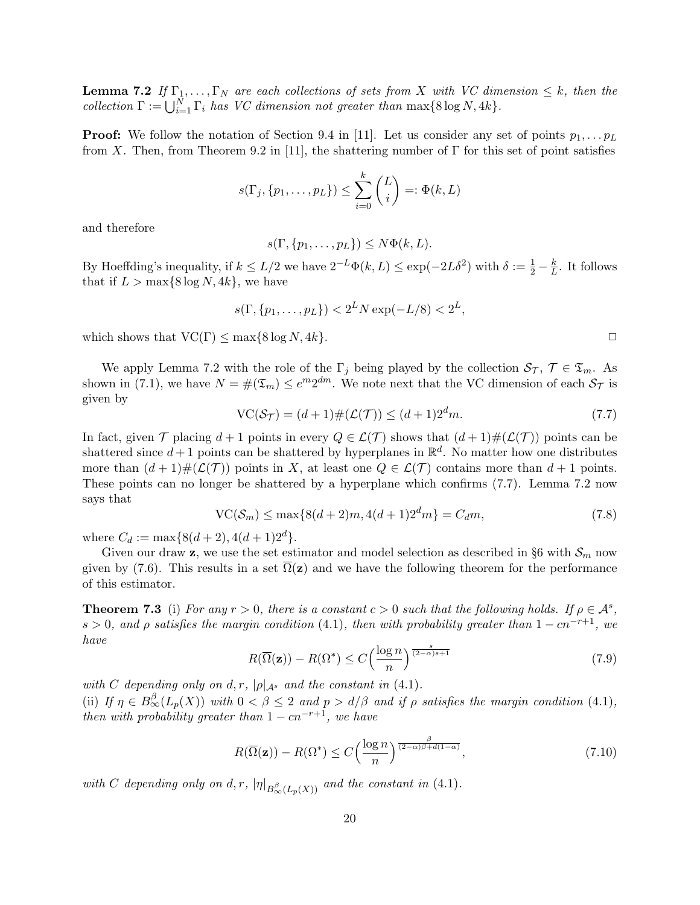**Lemma 7.2** If  $\Gamma_1, \ldots, \Gamma_N$  are each collections of sets from X with VC dimension  $\leq k$ , then the collection  $\Gamma := \bigcup_{i=1}^N \Gamma_i$  has VC dimension not greater than  $\max\{8 \log N, 4k\}.$ 

**Proof:** We follow the notation of Section 9.4 in [11]. Let us consider any set of points  $p_1, \ldots, p_L$ from X. Then, from Theorem 9.2 in [11], the shattering number of  $\Gamma$  for this set of point satisfies

$$
s(\Gamma_j, \{p_1, \ldots, p_L\}) \leq \sum_{i=0}^k {L \choose i} =: \Phi(k, L)
$$

and therefore

$$
s(\Gamma, \{p_1, \ldots, p_L\}) \leq N\Phi(k, L).
$$

By Hoeffding's inequality, if  $k \le L/2$  we have  $2^{-L}\Phi(k, L) \le \exp(-2L\delta^2)$  with  $\delta := \frac{1}{2} - \frac{k}{L}$  $\frac{k}{L}$ . It follows that if  $L > \max\{8 \log N, 4k\}$ , we have

$$
s(\Gamma, \{p_1, \dots, p_L\}) < 2^L N \exp(-L/8) < 2^L,
$$

which shows that  $VC(\Gamma) \leq \max\{8 \log N, 4k\}.$ 

We apply Lemma 7.2 with the role of the  $\Gamma_j$  being played by the collection  $\mathcal{S}_{\mathcal{T}}$ ,  $\mathcal{T} \in \mathfrak{T}_m$ . As shown in (7.1), we have  $N = \#(\mathfrak{T}_m) \leq e^{m} 2^{dm}$ . We note next that the VC dimension of each  $\mathcal{S}_{\mathcal{T}}$  is given by

$$
\operatorname{VC}(\mathcal{S}_{\mathcal{T}}) = (d+1)\#(\mathcal{L}(\mathcal{T})) \le (d+1)2^d m. \tag{7.7}
$$

In fact, given  $\mathcal T$  placing  $d+1$  points in every  $Q \in \mathcal L(\mathcal T)$  shows that  $(d+1) \#(\mathcal L(\mathcal T))$  points can be shattered since  $d+1$  points can be shattered by hyperplanes in  $\mathbb{R}^d$ . No matter how one distributes more than  $(d+1)$ # $(\mathcal{L}(\mathcal{T}))$  points in X, at least one  $Q \in \mathcal{L}(\mathcal{T})$  contains more than  $d+1$  points. These points can no longer be shattered by a hyperplane which confirms (7.7). Lemma 7.2 now says that

$$
\text{VC}(\mathcal{S}_m) \le \max\{8(d+2)m, 4(d+1)2^dm\} = C_d m,\tag{7.8}
$$

where  $C_d := \max\{8(d+2), 4(d+1)2^d\}.$ 

Given our draw **z**, we use the set estimator and model selection as described in §6 with  $\mathcal{S}_m$  now given by (7.6). This results in a set  $\Omega(z)$  and we have the following theorem for the performance of this estimator.

**Theorem 7.3** (i) For any  $r > 0$ , there is a constant  $c > 0$  such that the following holds. If  $\rho \in \mathcal{A}^s$ , s > 0, and  $\rho$  satisfies the margin condition (4.1), then with probability greater than  $1 - cn^{-r+1}$ , we have

$$
R(\overline{\Omega}(\mathbf{z})) - R(\Omega^*) \le C \left(\frac{\log n}{n}\right)^{\frac{s}{(2-\alpha)s+1}} \tag{7.9}
$$

with C depending only on d, r,  $|\rho|_{\mathcal{A}^s}$  and the constant in (4.1). (ii) If  $\eta \in B^{\beta}_{\infty}(L_p(X))$  with  $0 < \beta \leq 2$  and  $p > d/\beta$  and if  $\rho$  satisfies the margin condition (4.1), then with probability greater than  $1 - cn^{-r+1}$ , we have

$$
R(\overline{\Omega}(\mathbf{z})) - R(\Omega^*) \le C \left(\frac{\log n}{n}\right)^{\frac{\beta}{(2-\alpha)\beta + d(1-\alpha)}},\tag{7.10}
$$

with C depending only on d, r,  $|\eta|_{B_{\infty}^{\beta}(L_p(X))}$  and the constant in (4.1).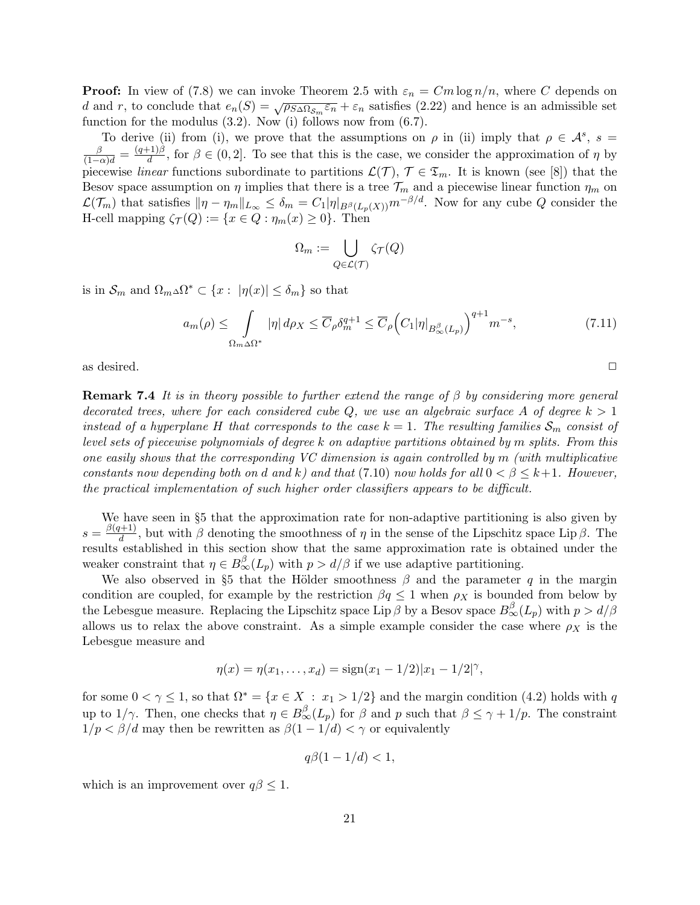**Proof:** In view of (7.8) we can invoke Theorem 2.5 with  $\varepsilon_n = Cm \log n/n$ , where C depends on d and r, to conclude that  $e_n(S) = \sqrt{\rho_{S\Delta\Omega_{\mathcal{S}_m}}\varepsilon_n} + \varepsilon_n$  satisfies (2.22) and hence is an admissible set function for the modulus  $(3.2)$ . Now (i) follows now from  $(6.7)$ .

To derive (ii) from (i), we prove that the assumptions on  $\rho$  in (ii) imply that  $\rho \in \mathcal{A}^s$ ,  $s =$  $\frac{\beta}{(1-\alpha)d} = \frac{(q+1)\beta}{d}$  $\frac{d^{-(1)}P}{d}$ , for  $\beta \in (0,2]$ . To see that this is the case, we consider the approximation of  $\eta$  by piecewise linear functions subordinate to partitions  $\mathcal{L}(\mathcal{T}), \mathcal{T} \in \mathfrak{T}_m$ . It is known (see [8]) that the Besov space assumption on  $\eta$  implies that there is a tree  $\mathcal{T}_m$  and a piecewise linear function  $\eta_m$  on  $\mathcal{L}(\mathcal{T}_m)$  that satisfies  $\|\eta - \eta_m\|_{L_{\infty}} \leq \delta_m = C_1|\eta|_{B^{\beta}(L_p(X))}m^{-\beta/d}$ . Now for any cube Q consider the H-cell mapping  $\zeta_{\mathcal{T}}(Q) := \{x \in Q : \eta_m(x) \geq 0\}.$  Then

$$
\Omega_m := \bigcup_{Q \in \mathcal{L}(\mathcal{T})} \zeta_{\mathcal{T}}(Q)
$$

is in  $\mathcal{S}_m$  and  $\Omega_m \Delta \Omega^* \subset \{x : |\eta(x)| \leq \delta_m\}$  so that

$$
a_m(\rho) \leq \int\limits_{\Omega_m \Delta\Omega^*} |\eta| \, d\rho_X \leq \overline{C}_{\rho} \delta_m^{q+1} \leq \overline{C}_{\rho} \Big(C_1 |\eta|_{B_\infty^\beta(L_p)}\Big)^{q+1} m^{-s},\tag{7.11}
$$

as desired.  $\Box$ 

**Remark 7.4** It is in theory possible to further extend the range of  $\beta$  by considering more general decorated trees, where for each considered cube  $Q$ , we use an algebraic surface A of degree  $k > 1$ instead of a hyperplane H that corresponds to the case  $k = 1$ . The resulting families  $S_m$  consist of level sets of piecewise polynomials of degree k on adaptive partitions obtained by m splits. From this one easily shows that the corresponding VC dimension is again controlled by  $m$  (with multiplicative constants now depending both on d and k) and that (7.10) now holds for all  $0 < \beta \leq k+1$ . However, the practical implementation of such higher order classifiers appears to be difficult.

We have seen in §5 that the approximation rate for non-adaptive partitioning is also given by  $s = \frac{\beta(q+1)}{d}$  $\frac{d+1}{d}$ , but with  $\beta$  denoting the smoothness of  $\eta$  in the sense of the Lipschitz space Lip  $\beta$ . The results established in this section show that the same approximation rate is obtained under the weaker constraint that  $\eta \in B^{\beta}_{\infty}(L_p)$  with  $p > d/\beta$  if we use adaptive partitioning.

We also observed in §5 that the Hölder smoothness  $\beta$  and the parameter q in the margin condition are coupled, for example by the restriction  $\beta q \leq 1$  when  $\rho_X$  is bounded from below by the Lebesgue measure. Replacing the Lipschitz space Lip  $\beta$  by a Besov space  $B_{\infty}^{\beta}(L_p)$  with  $p > d/\beta$ allows us to relax the above constraint. As a simple example consider the case where  $\rho_X$  is the Lebesgue measure and

$$
\eta(x) = \eta(x_1, \dots, x_d) = \text{sign}(x_1 - 1/2)|x_1 - 1/2|^{\gamma},
$$

for some  $0 < \gamma \leq 1$ , so that  $\Omega^* = \{x \in X : x_1 > 1/2\}$  and the margin condition (4.2) holds with q up to 1/ $\gamma$ . Then, one checks that  $\eta \in B^{\beta}_{\infty}(L_p)$  for  $\beta$  and p such that  $\beta \leq \gamma + 1/p$ . The constraint  $1/p < \beta/d$  may then be rewritten as  $\beta(1-1/d) < \gamma$  or equivalently

$$
q\beta(1-1/d) < 1,
$$

which is an improvement over  $q\beta \leq 1$ .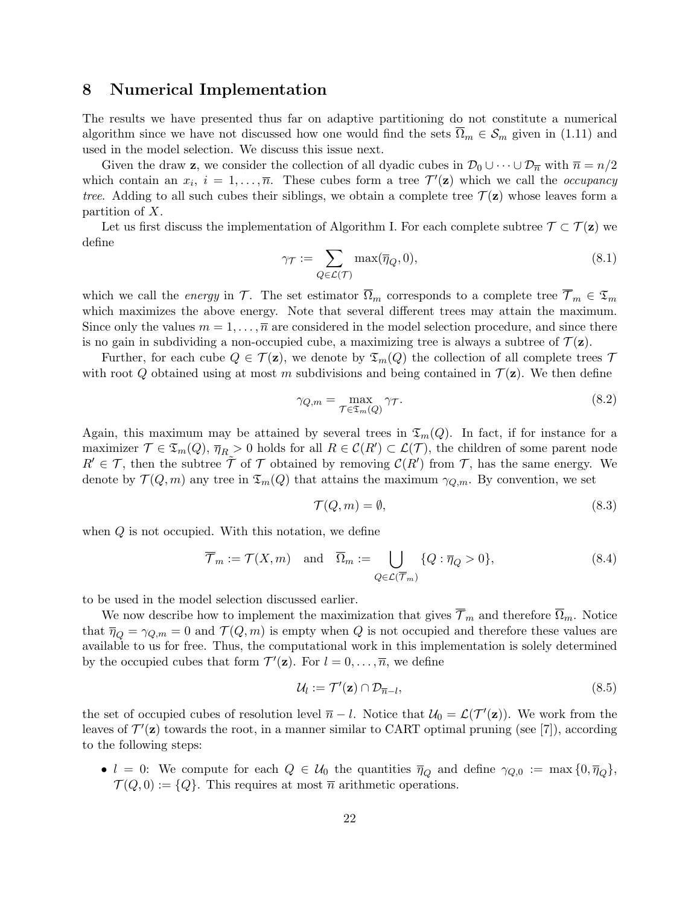### 8 Numerical Implementation

The results we have presented thus far on adaptive partitioning do not constitute a numerical algorithm since we have not discussed how one would find the sets  $\overline{\Omega}_m \in \mathcal{S}_m$  given in (1.11) and used in the model selection. We discuss this issue next.

Given the draw z, we consider the collection of all dyadic cubes in  $\mathcal{D}_0 \cup \cdots \cup \mathcal{D}_{\overline{n}}$  with  $\overline{n} = n/2$ which contain an  $x_i$ ,  $i = 1, \ldots, \overline{n}$ . These cubes form a tree  $\mathcal{T}'(\mathbf{z})$  which we call the *occupancy* tree. Adding to all such cubes their siblings, we obtain a complete tree  $\mathcal{T}(\mathbf{z})$  whose leaves form a partition of X.

Let us first discuss the implementation of Algorithm I. For each complete subtree  $\mathcal{T} \subset \mathcal{T}(\mathbf{z})$  we define

$$
\gamma_{\mathcal{T}} := \sum_{Q \in \mathcal{L}(\mathcal{T})} \max(\overline{\eta}_Q, 0),\tag{8.1}
$$

which we call the *energy* in T. The set estimator  $\overline{\Omega}_m$  corresponds to a complete tree  $\overline{\mathcal{T}}_m \in \mathfrak{T}_m$ which maximizes the above energy. Note that several different trees may attain the maximum. Since only the values  $m = 1, \ldots, \overline{n}$  are considered in the model selection procedure, and since there is no gain in subdividing a non-occupied cube, a maximizing tree is always a subtree of  $\mathcal{T}(\mathbf{z})$ .

Further, for each cube  $Q \in \mathcal{T}(\mathbf{z})$ , we denote by  $\mathfrak{T}_m(Q)$  the collection of all complete trees  $\mathcal{T}$ with root Q obtained using at most m subdivisions and being contained in  $\mathcal{T}(\mathbf{z})$ . We then define

$$
\gamma_{Q,m} = \max_{\mathcal{T} \in \mathfrak{T}_m(Q)} \gamma_{\mathcal{T}}.\tag{8.2}
$$

Again, this maximum may be attained by several trees in  $\mathfrak{T}_m(Q)$ . In fact, if for instance for a maximizer  $\mathcal{T} \in \mathfrak{T}_m(Q)$ ,  $\overline{\eta}_R > 0$  holds for all  $R \in \mathcal{C}(R') \subset \mathcal{L}(\mathcal{T})$ , the children of some parent node  $R' \in \mathcal{T}$ , then the subtree  $\tilde{\mathcal{T}}$  of  $\mathcal{T}$  obtained by removing  $\mathcal{C}(R')$  from  $\mathcal{T}$ , has the same energy. We denote by  $\mathcal{T}(Q,m)$  any tree in  $\mathfrak{T}_m(Q)$  that attains the maximum  $\gamma_{Q,m}$ . By convention, we set

$$
\mathcal{T}(Q,m) = \emptyset,\tag{8.3}
$$

when  $Q$  is not occupied. With this notation, we define

$$
\overline{\mathcal{T}}_m := \mathcal{T}(X, m) \quad \text{and} \quad \overline{\Omega}_m := \bigcup_{Q \in \mathcal{L}(\overline{\mathcal{T}}_m)} \{Q : \overline{\eta}_Q > 0\},\tag{8.4}
$$

to be used in the model selection discussed earlier.

We now describe how to implement the maximization that gives  $\overline{\mathcal{T}}_m$  and therefore  $\overline{\Omega}_m$ . Notice that  $\overline{\eta}_Q = \gamma_{Q,m} = 0$  and  $\mathcal{T}(Q,m)$  is empty when Q is not occupied and therefore these values are available to us for free. Thus, the computational work in this implementation is solely determined by the occupied cubes that form  $\mathcal{T}'(\mathbf{z})$ . For  $l = 0, \ldots, \overline{n}$ , we define

$$
\mathcal{U}_l := \mathcal{T}'(\mathbf{z}) \cap \mathcal{D}_{\overline{n}-l},\tag{8.5}
$$

the set of occupied cubes of resolution level  $\overline{n} - l$ . Notice that  $\mathcal{U}_0 = \mathcal{L}(\mathcal{T}'(\mathbf{z}))$ . We work from the leaves of  $\mathcal{T}'(\mathbf{z})$  towards the root, in a manner similar to CART optimal pruning (see [7]), according to the following steps:

•  $l = 0$ : We compute for each  $Q \in \mathcal{U}_0$  the quantities  $\overline{\eta}_Q$  and define  $\gamma_{Q,0} := \max\{0,\overline{\eta}_Q\},\$  $\mathcal{T}(Q, 0) := \{Q\}.$  This requires at most  $\overline{n}$  arithmetic operations.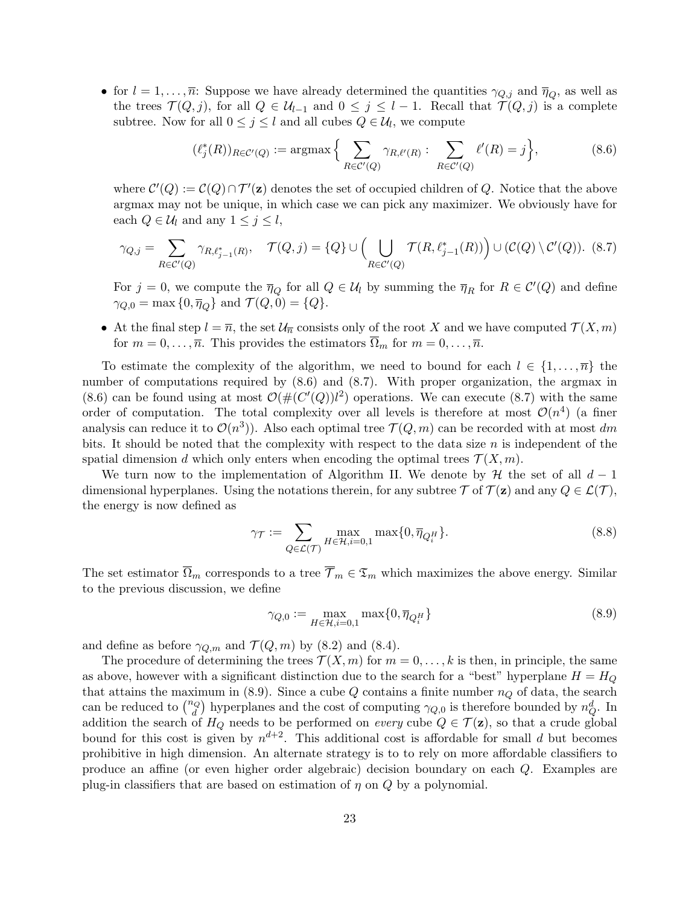• for  $l = 1, ..., \overline{n}$ : Suppose we have already determined the quantities  $\gamma_{Q,j}$  and  $\overline{\eta}_Q$ , as well as the trees  $\mathcal{T}(Q, j)$ , for all  $Q \in \mathcal{U}_{l-1}$  and  $0 \leq j \leq l-1$ . Recall that  $\mathcal{T}(Q, j)$  is a complete subtree. Now for all  $0 \leq j \leq l$  and all cubes  $Q \in \mathcal{U}_l$ , we compute

$$
(\ell_j^*(R))_{R \in \mathcal{C}'(Q)} := \operatorname{argmax} \left\{ \sum_{R \in \mathcal{C}'(Q)} \gamma_{R,\ell'(R)} : \sum_{R \in \mathcal{C}'(Q)} \ell'(R) = j \right\},\tag{8.6}
$$

where  $\mathcal{C}'(Q) := \mathcal{C}(Q) \cap \mathcal{T}'(\mathbf{z})$  denotes the set of occupied children of Q. Notice that the above argmax may not be unique, in which case we can pick any maximizer. We obviously have for each  $Q \in \mathcal{U}_l$  and any  $1 \leq j \leq l$ ,

$$
\gamma_{Q,j} = \sum_{R \in \mathcal{C}'(Q)} \gamma_{R,\ell_{j-1}^*(R)}, \quad \mathcal{T}(Q,j) = \{Q\} \cup \left(\bigcup_{R \in \mathcal{C}'(Q)} \mathcal{T}(R,\ell_{j-1}^*(R))\right) \cup (\mathcal{C}(Q) \setminus \mathcal{C}'(Q)).
$$
 (8.7)

For  $j = 0$ , we compute the  $\overline{\eta}_Q$  for all  $Q \in \mathcal{U}_l$  by summing the  $\overline{\eta}_R$  for  $R \in \mathcal{C}'(Q)$  and define  $\gamma_{Q,0} = \max\{0,\overline{\eta}_Q\}$  and  $\mathcal{T}(Q,0) = \{Q\}.$ 

• At the final step  $l = \overline{n}$ , the set  $\mathcal{U}_{\overline{n}}$  consists only of the root X and we have computed  $\mathcal{T}(X,m)$ for  $m = 0, \ldots, \overline{n}$ . This provides the estimators  $\overline{\Omega}_m$  for  $m = 0, \ldots, \overline{n}$ .

To estimate the complexity of the algorithm, we need to bound for each  $l \in \{1, \ldots, \overline{n}\}\)$  the number of computations required by  $(8.6)$  and  $(8.7)$ . With proper organization, the argmax in (8.6) can be found using at most  $\mathcal{O}(\#(C'(Q))l^2)$  operations. We can execute (8.7) with the same order of computation. The total complexity over all levels is therefore at most  $\mathcal{O}(n^4)$  (a finer analysis can reduce it to  $\mathcal{O}(n^3)$ ). Also each optimal tree  $\mathcal{T}(Q,m)$  can be recorded with at most dm bits. It should be noted that the complexity with respect to the data size  $n$  is independent of the spatial dimension d which only enters when encoding the optimal trees  $\mathcal{T}(X,m)$ .

We turn now to the implementation of Algorithm II. We denote by  $\mathcal H$  the set of all  $d-1$ dimensional hyperplanes. Using the notations therein, for any subtree  $\mathcal T$  of  $\mathcal T(\mathbf{z})$  and any  $Q \in \mathcal L(\mathcal T)$ , the energy is now defined as

$$
\gamma_{\mathcal{T}} := \sum_{Q \in \mathcal{L}(\mathcal{T})} \max_{H \in \mathcal{H}, i=0,1} \max\{0, \overline{\eta}_{Q_i^H}\}.
$$
\n(8.8)

The set estimator  $\overline{\Omega}_m$  corresponds to a tree  $\overline{\mathcal{T}}_m \in \mathfrak{T}_m$  which maximizes the above energy. Similar to the previous discussion, we define

$$
\gamma_{Q,0} := \max_{H \in \mathcal{H}, i=0,1} \max\{0, \overline{\eta}_{Q_i^H}\}\n\tag{8.9}
$$

and define as before  $\gamma_{Q,m}$  and  $\mathcal{T}(Q,m)$  by (8.2) and (8.4).

The procedure of determining the trees  $\mathcal{T}(X,m)$  for  $m=0,\ldots,k$  is then, in principle, the same as above, however with a significant distinction due to the search for a "best" hyperplane  $H = H<sub>Q</sub>$ that attains the maximum in (8.9). Since a cube  $Q$  contains a finite number  $n_Q$  of data, the search can be reduced to  $\binom{n_Q}{d}$  hyperplanes and the cost of computing  $\gamma_{Q,0}$  is therefore bounded by  $n_Q^d$ . In addition the search of  $H_Q$  needs to be performed on every cube  $Q \in \mathcal{T}(\mathbf{z})$ , so that a crude global bound for this cost is given by  $n^{d+2}$ . This additional cost is affordable for small d but becomes prohibitive in high dimension. An alternate strategy is to to rely on more affordable classifiers to produce an affine (or even higher order algebraic) decision boundary on each Q. Examples are plug-in classifiers that are based on estimation of  $\eta$  on  $Q$  by a polynomial.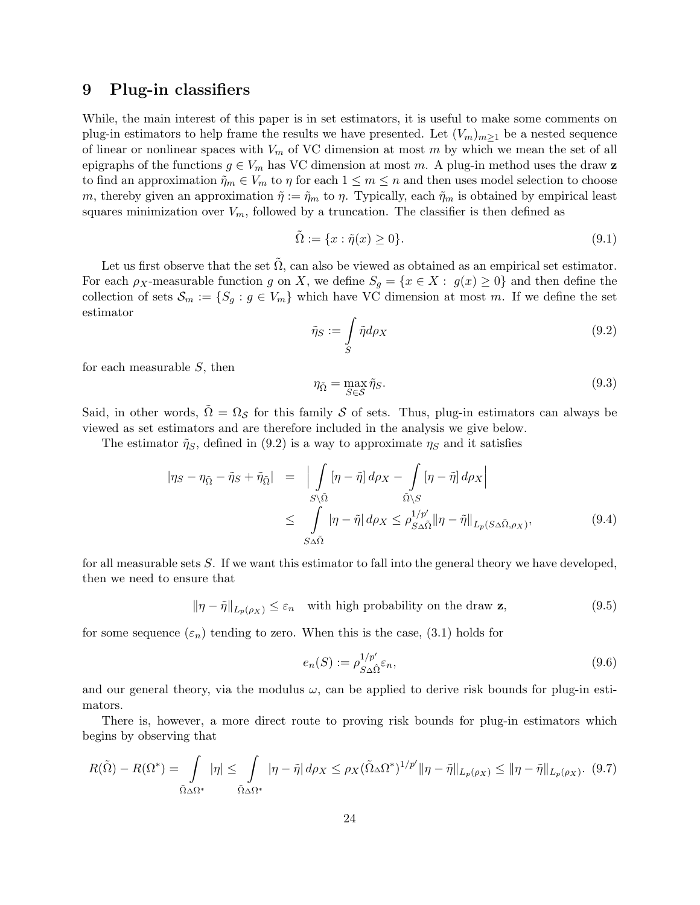### 9 Plug-in classifiers

While, the main interest of this paper is in set estimators, it is useful to make some comments on plug-in estimators to help frame the results we have presented. Let  $(V_m)_{m\geq 1}$  be a nested sequence of linear or nonlinear spaces with  $V_m$  of VC dimension at most m by which we mean the set of all epigraphs of the functions  $g \in V_m$  has VC dimension at most m. A plug-in method uses the draw **z** to find an approximation  $\tilde{\eta}_m \in V_m$  to  $\eta$  for each  $1 \leq m \leq n$  and then uses model selection to choose m, thereby given an approximation  $\tilde{\eta} := \tilde{\eta}_m$  to  $\eta$ . Typically, each  $\tilde{\eta}_m$  is obtained by empirical least squares minimization over  $V_m$ , followed by a truncation. The classifier is then defined as

$$
\tilde{\Omega} := \{ x : \tilde{\eta}(x) \ge 0 \}. \tag{9.1}
$$

Let us first observe that the set  $\tilde{\Omega}$ , can also be viewed as obtained as an empirical set estimator. For each  $\rho_X$ -measurable function g on X, we define  $S_g = \{x \in X : g(x) \ge 0\}$  and then define the collection of sets  $\mathcal{S}_m := \{S_g : g \in V_m\}$  which have VC dimension at most m. If we define the set estimator

$$
\tilde{\eta}_S := \int\limits_S \tilde{\eta} d\rho_X \tag{9.2}
$$

for each measurable S, then

$$
\eta_{\tilde{\Omega}} = \max_{S \in \mathcal{S}} \tilde{\eta}_S. \tag{9.3}
$$

Said, in other words,  $\tilde{\Omega} = \Omega_{\mathcal{S}}$  for this family  $\mathcal S$  of sets. Thus, plug-in estimators can always be viewed as set estimators and are therefore included in the analysis we give below.

The estimator  $\tilde{\eta}_S$ , defined in (9.2) is a way to approximate  $\eta_S$  and it satisfies

$$
|\eta_S - \eta_{\tilde{\Omega}} - \tilde{\eta}_S + \tilde{\eta}_{\tilde{\Omega}}| = \left| \int_{S \setminus \tilde{\Omega}} [\eta - \tilde{\eta}] d\rho_X - \int_{\tilde{\Omega} \setminus S} [\eta - \tilde{\eta}] d\rho_X \right|
$$
  

$$
\leq \int_{S \Delta \tilde{\Omega}} |\eta - \tilde{\eta}| d\rho_X \leq \rho_{S \Delta \tilde{\Omega}}^{1/p'} \|\eta - \tilde{\eta}\|_{L_p(S \Delta \tilde{\Omega}, \rho_X)},
$$
(9.4)

for all measurable sets S. If we want this estimator to fall into the general theory we have developed, then we need to ensure that

 $\|\eta - \tilde{\eta}\|_{L_n(\rho_X)} \leq \varepsilon_n$  with high probability on the draw z, (9.5)

for some sequence  $(\varepsilon_n)$  tending to zero. When this is the case, (3.1) holds for

$$
e_n(S) := \rho_{S \Delta \hat{\Omega}}^{1/p'} \varepsilon_n,\tag{9.6}
$$

and our general theory, via the modulus  $\omega$ , can be applied to derive risk bounds for plug-in estimators.

There is, however, a more direct route to proving risk bounds for plug-in estimators which begins by observing that

$$
R(\tilde{\Omega}) - R(\Omega^*) = \int_{\tilde{\Omega}\Delta\Omega^*} |\eta| \leq \int_{\tilde{\Omega}\Delta\Omega^*} |\eta - \tilde{\eta}| d\rho_X \leq \rho_X(\tilde{\Omega}\Delta\Omega^*)^{1/p'} \|\eta - \tilde{\eta}\|_{L_p(\rho_X)} \leq \|\eta - \tilde{\eta}\|_{L_p(\rho_X)}. (9.7)
$$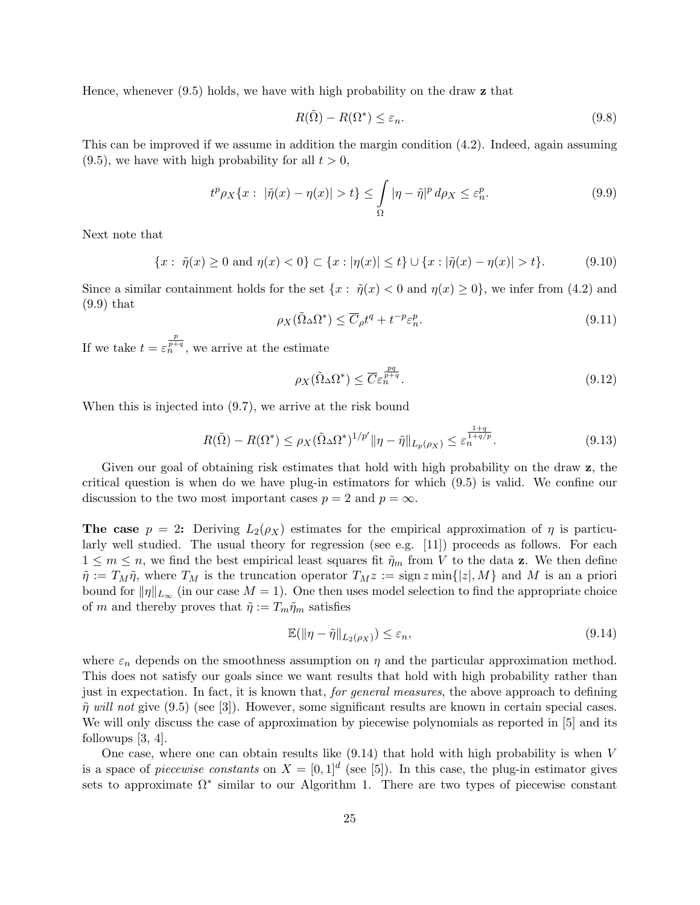Hence, whenever (9.5) holds, we have with high probability on the draw z that

$$
R(\tilde{\Omega}) - R(\Omega^*) \le \varepsilon_n. \tag{9.8}
$$

This can be improved if we assume in addition the margin condition (4.2). Indeed, again assuming  $(9.5)$ , we have with high probability for all  $t > 0$ ,

$$
t^p \rho_X \{x : |\tilde{\eta}(x) - \eta(x)| > t\} \le \int_{\Omega} |\eta - \tilde{\eta}|^p \, d\rho_X \le \varepsilon_n^p. \tag{9.9}
$$

Next note that

$$
\{x:\ \tilde{\eta}(x)\geq 0\ \text{and}\ \eta(x)<0\}\subset\{x:|\eta(x)|\leq t\}\cup\{x:|\tilde{\eta}(x)-\eta(x)|>t\}.\tag{9.10}
$$

Since a similar containment holds for the set  $\{x: \tilde{\eta}(x) < 0 \text{ and } \eta(x) \ge 0\}$ , we infer from (4.2) and (9.9) that

$$
\rho_X(\tilde{\Omega}_\Delta \Omega^*) \le \overline{C}_\rho t^q + t^{-p} \varepsilon_n^p. \tag{9.11}
$$

If we take  $t = \varepsilon_n^{\frac{p}{p+q}}$ , we arrive at the estimate

$$
\rho_X(\tilde{\Omega}\Delta\Omega^*) \le \overline{C} \varepsilon_n^{\frac{pq}{p+q}}.
$$
\n(9.12)

When this is injected into (9.7), we arrive at the risk bound

$$
R(\tilde{\Omega}) - R(\Omega^*) \le \rho_X(\tilde{\Omega}\Delta\Omega^*)^{1/p'} \|\eta - \tilde{\eta}\|_{L_p(\rho_X)} \le \varepsilon_n^{\frac{1+q}{1+q/p}}.
$$
\n(9.13)

Given our goal of obtaining risk estimates that hold with high probability on the draw z, the critical question is when do we have plug-in estimators for which (9.5) is valid. We confine our discussion to the two most important cases  $p = 2$  and  $p = \infty$ .

The case  $p = 2$ : Deriving  $L_2(\rho_X)$  estimates for the empirical approximation of  $\eta$  is particularly well studied. The usual theory for regression (see e.g. [11]) proceeds as follows. For each  $1 \leq m \leq n$ , we find the best empirical least squares fit  $\tilde{\eta}_m$  from V to the data **z**. We then define  $\tilde{\eta} := T_M \tilde{\eta}$ , where  $T_M$  is the truncation operator  $T_M z := \text{sign}\, z \min\{|z|, M\}$  and M is an a priori bound for  $\|\eta\|_{L_{\infty}}$  (in our case  $M = 1$ ). One then uses model selection to find the appropriate choice of m and thereby proves that  $\tilde{\eta} := T_m \tilde{\eta}_m$  satisfies

$$
\mathbb{E}(\|\eta - \tilde{\eta}\|_{L_2(\rho_X)}) \le \varepsilon_n,\tag{9.14}
$$

where  $\varepsilon_n$  depends on the smoothness assumption on  $\eta$  and the particular approximation method. This does not satisfy our goals since we want results that hold with high probability rather than just in expectation. In fact, it is known that, *for general measures*, the above approach to defining  $\tilde{\eta}$  will not give (9.5) (see [3]). However, some significant results are known in certain special cases. We will only discuss the case of approximation by piecewise polynomials as reported in [5] and its followups  $|3, 4|$ .

One case, where one can obtain results like  $(9.14)$  that hold with high probability is when V is a space of *piecewise constants* on  $X = [0, 1]^d$  (see [5]). In this case, the plug-in estimator gives sets to approximate  $\Omega^*$  similar to our Algorithm 1. There are two types of piecewise constant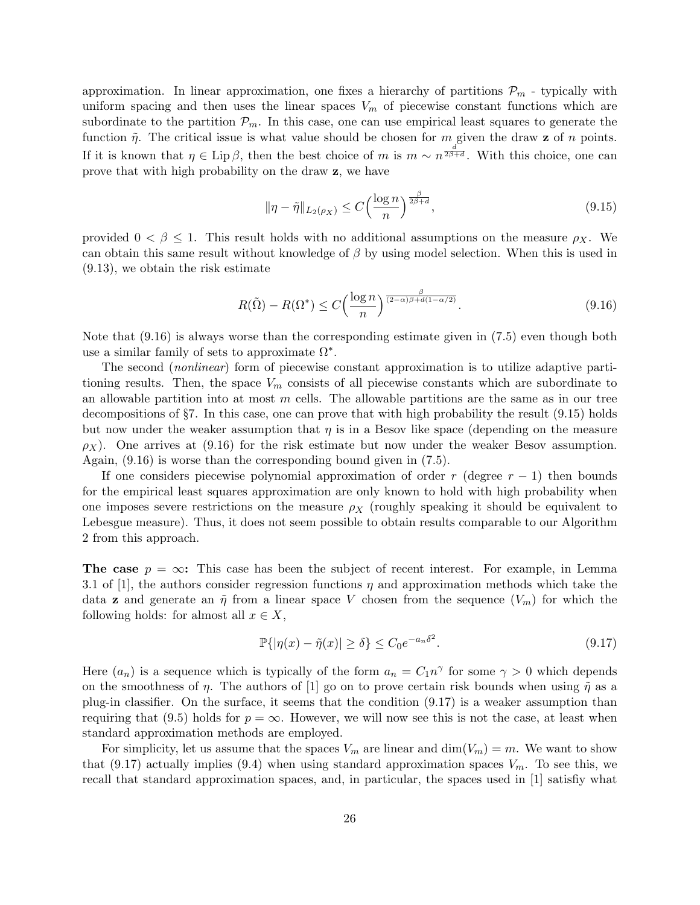approximation. In linear approximation, one fixes a hierarchy of partitions  $\mathcal{P}_m$  - typically with uniform spacing and then uses the linear spaces  $V_m$  of piecewise constant functions which are subordinate to the partition  $P_m$ . In this case, one can use empirical least squares to generate the function  $\tilde{\eta}$ . The critical issue is what value should be chosen for m given the draw **z** of n points. If it is known that  $\eta \in \text{Lip } \beta$ , then the best choice of m is  $m \sim n^{\frac{d}{2\beta+d}}$ . With this choice, one can prove that with high probability on the draw z, we have

$$
\|\eta - \tilde{\eta}\|_{L_2(\rho_X)} \le C \left(\frac{\log n}{n}\right)^{\frac{\beta}{2\beta + d}},\tag{9.15}
$$

provided  $0 < \beta \leq 1$ . This result holds with no additional assumptions on the measure  $\rho_X$ . We can obtain this same result without knowledge of  $\beta$  by using model selection. When this is used in (9.13), we obtain the risk estimate

$$
R(\tilde{\Omega}) - R(\Omega^*) \le C \left(\frac{\log n}{n}\right)^{\frac{\beta}{(2-\alpha)\beta + d(1-\alpha/2)}}.
$$
\n(9.16)

Note that (9.16) is always worse than the corresponding estimate given in (7.5) even though both use a similar family of sets to approximate  $\Omega^*$ .

The second (nonlinear) form of piecewise constant approximation is to utilize adaptive partitioning results. Then, the space  $V_m$  consists of all piecewise constants which are subordinate to an allowable partition into at most  $m$  cells. The allowable partitions are the same as in our tree decompositions of §7. In this case, one can prove that with high probability the result (9.15) holds but now under the weaker assumption that  $\eta$  is in a Besov like space (depending on the measure  $\rho_X$ ). One arrives at (9.16) for the risk estimate but now under the weaker Besov assumption. Again, (9.16) is worse than the corresponding bound given in (7.5).

If one considers piecewise polynomial approximation of order r (degree  $r - 1$ ) then bounds for the empirical least squares approximation are only known to hold with high probability when one imposes severe restrictions on the measure  $\rho_X$  (roughly speaking it should be equivalent to Lebesgue measure). Thus, it does not seem possible to obtain results comparable to our Algorithm 2 from this approach.

**The case**  $p = \infty$ : This case has been the subject of recent interest. For example, in Lemma 3.1 of [1], the authors consider regression functions  $\eta$  and approximation methods which take the data **z** and generate an  $\tilde{\eta}$  from a linear space V chosen from the sequence  $(V_m)$  for which the following holds: for almost all  $x \in X$ ,

$$
\mathbb{P}\{|\eta(x) - \tilde{\eta}(x)| \ge \delta\} \le C_0 e^{-a_n \delta^2}.
$$
\n(9.17)

Here  $(a_n)$  is a sequence which is typically of the form  $a_n = C_1 n^{\gamma}$  for some  $\gamma > 0$  which depends on the smoothness of  $\eta$ . The authors of [1] go on to prove certain risk bounds when using  $\tilde{\eta}$  as a plug-in classifier. On the surface, it seems that the condition (9.17) is a weaker assumption than requiring that (9.5) holds for  $p = \infty$ . However, we will now see this is not the case, at least when standard approximation methods are employed.

For simplicity, let us assume that the spaces  $V_m$  are linear and  $\dim(V_m) = m$ . We want to show that (9.17) actually implies (9.4) when using standard approximation spaces  $V_m$ . To see this, we recall that standard approximation spaces, and, in particular, the spaces used in [1] satisfiy what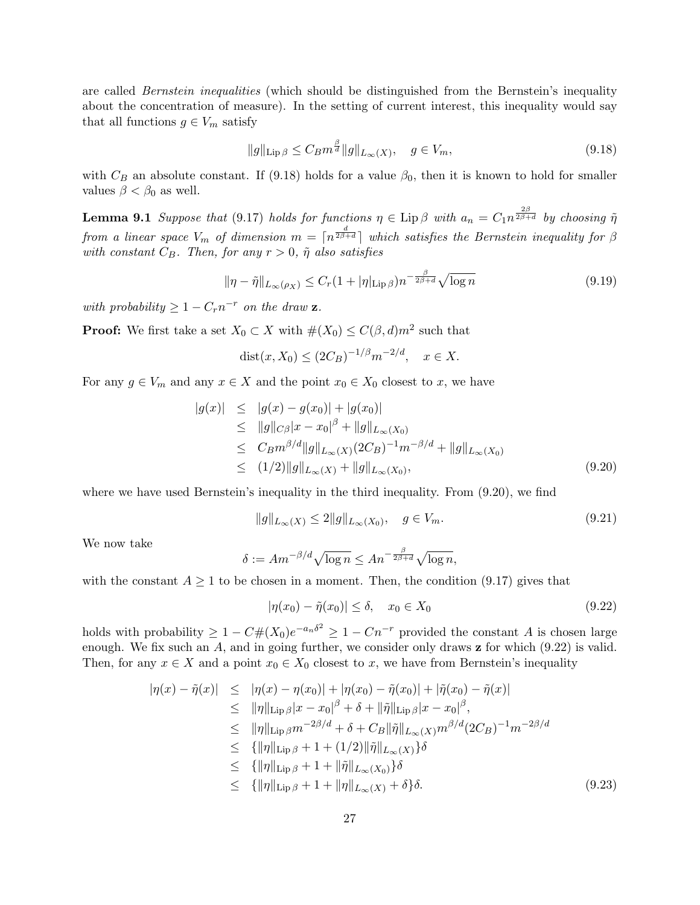are called *Bernstein inequalities* (which should be distinguished from the Bernstein's inequality about the concentration of measure). In the setting of current interest, this inequality would say that all functions  $g \in V_m$  satisfy

$$
||g||_{\text{Lip}\,\beta} \le C_B m^{\frac{\beta}{d}} ||g||_{L_{\infty}(X)}, \quad g \in V_m,\tag{9.18}
$$

with  $C_B$  an absolute constant. If (9.18) holds for a value  $\beta_0$ , then it is known to hold for smaller values  $\beta < \beta_0$  as well.

**Lemma 9.1** Suppose that (9.17) holds for functions  $\eta \in \text{Lip}\,\beta$  with  $a_n = C_1 n^{\frac{2\beta}{2\beta+d}}$  by choosing  $\tilde{\eta}$ from a linear space  $V_m$  of dimension  $m = \lceil n^{\frac{d}{2\beta+d}} \rceil$  which satisfies the Bernstein inequality for  $\beta$ with constant  $C_B$ . Then, for any  $r > 0$ ,  $\tilde{\eta}$  also satisfies

$$
\|\eta - \tilde{\eta}\|_{L_{\infty}(\rho_X)} \le C_r (1 + |\eta|_{\text{Lip}\,\beta}) n^{-\frac{\beta}{2\beta + d}} \sqrt{\log n}
$$
\n(9.19)

with probability  $\geq 1 - C_r n^{-r}$  on the draw **z**.

**Proof:** We first take a set  $X_0 \subset X$  with  $\#(X_0) \leq C(\beta, d) m^2$  such that

$$
dist(x, X_0) \le (2C_B)^{-1/\beta} m^{-2/d}, \quad x \in X.
$$

For any  $g \in V_m$  and any  $x \in X$  and the point  $x_0 \in X_0$  closest to x, we have

$$
|g(x)| \le |g(x) - g(x_0)| + |g(x_0)|
$$
  
\n
$$
\le |g||_{C\beta}|x - x_0|^{\beta} + ||g||_{L_{\infty}(X_0)}
$$
  
\n
$$
\le C_B m^{\beta/d} ||g||_{L_{\infty}(X)} (2C_B)^{-1} m^{-\beta/d} + ||g||_{L_{\infty}(X_0)}
$$
  
\n
$$
\le (1/2) ||g||_{L_{\infty}(X)} + ||g||_{L_{\infty}(X_0)},
$$
\n(9.20)

where we have used Bernstein's inequality in the third inequality. From (9.20), we find

$$
||g||_{L_{\infty}(X)} \le 2||g||_{L_{\infty}(X_0)}, \quad g \in V_m.
$$
\n(9.21)

We now take

$$
\delta := Am^{-\beta/d}\sqrt{\log n} \le An^{-\frac{\beta}{2\beta+d}}\sqrt{\log n},
$$

with the constant  $A \geq 1$  to be chosen in a moment. Then, the condition (9.17) gives that

$$
|\eta(x_0) - \tilde{\eta}(x_0)| \le \delta, \quad x_0 \in X_0 \tag{9.22}
$$

holds with probability  $\geq 1 - C \#(X_0) e^{-a_n \delta^2} \geq 1 - C n^{-r}$  provided the constant A is chosen large enough. We fix such an  $A$ , and in going further, we consider only draws  $\bf{z}$  for which (9.22) is valid. Then, for any  $x \in X$  and a point  $x_0 \in X_0$  closest to x, we have from Bernstein's inequality

$$
|\eta(x) - \tilde{\eta}(x)| \leq |\eta(x) - \eta(x_0)| + |\eta(x_0) - \tilde{\eta}(x_0)| + |\tilde{\eta}(x_0) - \tilde{\eta}(x)|
$$
  
\n
$$
\leq \|\eta\|_{\text{Lip}\,\beta}|x - x_0|^{\beta} + \delta + \|\tilde{\eta}\|_{\text{Lip}\,\beta}|x - x_0|^{\beta},
$$
  
\n
$$
\leq \|\eta\|_{\text{Lip}\,\beta}m^{-2\beta/d} + \delta + C_B\|\tilde{\eta}\|_{L_{\infty}(X)}m^{\beta/d}(2C_B)^{-1}m^{-2\beta/d}
$$
  
\n
$$
\leq {\|\eta\|_{\text{Lip}\,\beta} + 1 + (1/2)\|\tilde{\eta}\|_{L_{\infty}(X)}}\delta
$$
  
\n
$$
\leq {\|\eta\|_{\text{Lip}\,\beta} + 1 + \|\tilde{\eta}\|_{L_{\infty}(X_0)}}\delta
$$
  
\n
$$
\leq {\|\eta\|_{\text{Lip}\,\beta} + 1 + \|\eta\|_{L_{\infty}(X)}} + \delta \delta.
$$
  
\n(9.23)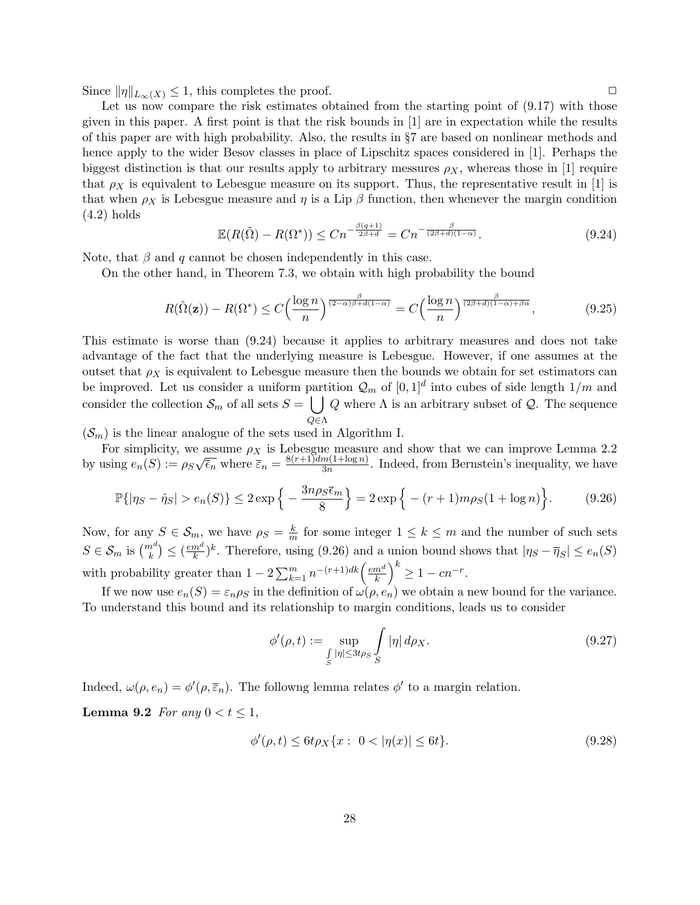Since  $\|\eta\|_{L_{\infty}(X)} \leq 1$ , this completes the proof.  $\square$ 

Let us now compare the risk estimates obtained from the starting point of  $(9.17)$  with those given in this paper. A first point is that the risk bounds in [1] are in expectation while the results of this paper are with high probability. Also, the results in §7 are based on nonlinear methods and hence apply to the wider Besov classes in place of Lipschitz spaces considered in [1]. Perhaps the biggest distinction is that our results apply to arbitrary messures  $\rho_X$ , whereas those in [1] require that  $\rho_X$  is equivalent to Lebesgue measure on its support. Thus, the representative result in [1] is that when  $\rho_X$  is Lebesgue measure and  $\eta$  is a Lip  $\beta$  function, then whenever the margin condition  $(4.2)$  holds

$$
\mathbb{E}(R(\tilde{\Omega}) - R(\Omega^*)) \le Cn^{-\frac{\beta(q+1)}{2\beta+d}} = Cn^{-\frac{\beta}{(2\beta+d)(1-\alpha)}}.
$$
\n(9.24)

Note, that  $\beta$  and q cannot be chosen independently in this case.

On the other hand, in Theorem 7.3, we obtain with high probability the bound

$$
R(\hat{\Omega}(\mathbf{z})) - R(\Omega^*) \le C \left(\frac{\log n}{n}\right)^{\frac{\beta}{(2-\alpha)\beta + d(1-\alpha)}} = C \left(\frac{\log n}{n}\right)^{\frac{\beta}{(2\beta+d)(1-\alpha)+\beta\alpha}},\tag{9.25}
$$

This estimate is worse than (9.24) because it applies to arbitrary measures and does not take advantage of the fact that the underlying measure is Lebesgue. However, if one assumes at the outset that  $\rho_X$  is equivalent to Lebesgue measure then the bounds we obtain for set estimators can be improved. Let us consider a uniform partition  $\mathcal{Q}_m$  of  $[0,1]^d$  into cubes of side length  $1/m$  and consider the collection  $\mathcal{S}_m$  of all sets  $S = \begin{bmatrix} 1 \end{bmatrix}$ Q∈Λ Q where  $\Lambda$  is an arbitrary subset of  $\mathcal{Q}$ . The sequence

 $(\mathcal{S}_m)$  is the linear analogue of the sets used in Algorithm I.

For simplicity, we assume  $\rho_X$  is Lebesgue measure and show that we can improve Lemma 2.2 by using  $e_n(S) := \rho_S$ √  $\overline{\overline{\epsilon}_n}$  where  $\overline{\overline{\epsilon}}_n = \frac{8(r+1)dm(1+\log n)}{3n}$  $\frac{m(1+\log n)}{3n}$ . Indeed, from Bernstein's inequality, we have

$$
\mathbb{P}\{|\eta_S - \hat{\eta}_S| > e_n(S)\} \le 2 \exp\left\{-\frac{3n\rho_S \bar{\epsilon}_m}{8}\right\} = 2 \exp\left\{- (r+1)m\rho_S(1+\log n)\right\}.
$$
 (9.26)

Now, for any  $S \in \mathcal{S}_m$ , we have  $\rho_S = \frac{k}{m}$  $\frac{k}{m}$  for some integer  $1 \leq k \leq m$  and the number of such sets  $S \in \mathcal{S}_m$  is  $\binom{m^d}{k} \leq \left(\frac{em^d}{k}\right)^d$  $(\frac{m^d}{k})^k$ . Therefore, using (9.26) and a union bound shows that  $|\eta_S - \overline{\eta}_S| \leq e_n(S)$ with probability greater than  $1 - 2 \sum_{k=1}^{m} n^{-(r+1)dk} \left( \frac{e m^d}{k} \right)$  $\left(\frac{m^d}{k}\right)^k \geq 1 - cn^{-r}.$ 

If we now use  $e_n(S) = \varepsilon_n \rho_S$  in the definition of  $\omega(\rho, e_n)$  we obtain a new bound for the variance. To understand this bound and its relationship to margin conditions, leads us to consider

$$
\phi'(\rho, t) := \sup_{\substack{\int |n| \le 3t \rho_S}} \int_{S} |\eta| d\rho_X. \tag{9.27}
$$

Indeed,  $\omega(\rho, e_n) = \phi'(\rho, \overline{\varepsilon}_n)$ . The followng lemma relates  $\phi'$  to a margin relation.

Lemma 9.2 For any  $0 < t < 1$ ,

$$
\phi'(\rho, t) \le 6t\rho_X\{x: 0 < |\eta(x)| \le 6t\}.
$$
\n(9.28)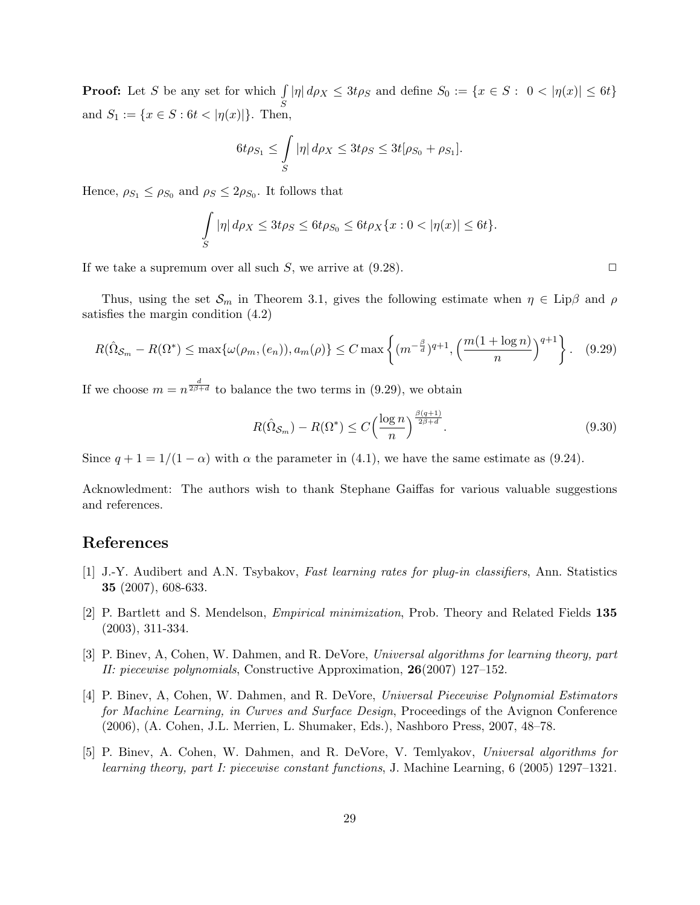**Proof:** Let S be any set for which  $\int$ S  $|\eta| d\rho_X \leq 3t\rho_S$  and define  $S_0 := \{x \in S : 0 < |\eta(x)| \leq 6t\}$ and  $S_1 := \{x \in S : 6t < |\eta(x)|\}.$  Then,

$$
6t\rho_{S_1} \leq \int\limits_S |\eta| d\rho_X \leq 3t\rho_S \leq 3t[\rho_{S_0} + \rho_{S_1}].
$$

Hence,  $\rho_{S_1} \leq \rho_{S_0}$  and  $\rho_S \leq 2\rho_{S_0}$ . It follows that

$$
\int_{S} |\eta| d\rho X \le 3t\rho S \le 6t\rho S_0 \le 6t\rho X \{x : 0 < |\eta(x)| \le 6t\}.
$$

If we take a supremum over all such S, we arrive at  $(9.28)$ .

Thus, using the set  $\mathcal{S}_m$  in Theorem 3.1, gives the following estimate when  $\eta \in \text{Lip}\beta$  and  $\rho$ satisfies the margin condition (4.2)

$$
R(\hat{\Omega}_{\mathcal{S}_m} - R(\Omega^*) \le \max\{\omega(\rho_m, (e_n)), a_m(\rho)\} \le C \max\left\{(m^{-\frac{\beta}{d}})^{q+1}, \left(\frac{m(1+\log n)}{n}\right)^{q+1}\right\}.
$$
 (9.29)

If we choose  $m = n^{\frac{d}{2\beta+d}}$  to balance the two terms in (9.29), we obtain

$$
R(\hat{\Omega}_{\mathcal{S}_m}) - R(\Omega^*) \le C \left(\frac{\log n}{n}\right)^{\frac{\beta(q+1)}{2\beta+d}}.\tag{9.30}
$$

Since  $q + 1 = 1/(1 - \alpha)$  with  $\alpha$  the parameter in (4.1), we have the same estimate as (9.24).

Acknowledment: The authors wish to thank Stephane Gaiffas for various valuable suggestions and references.

### References

- [1] J.-Y. Audibert and A.N. Tsybakov, Fast learning rates for plug-in classifiers, Ann. Statistics 35 (2007), 608-633.
- [2] P. Bartlett and S. Mendelson, Empirical minimization, Prob. Theory and Related Fields 135 (2003), 311-334.
- [3] P. Binev, A, Cohen, W. Dahmen, and R. DeVore, Universal algorithms for learning theory, part II: piecewise polynomials, Constructive Approximation,  $26(2007)$  127–152.
- [4] P. Binev, A, Cohen, W. Dahmen, and R. DeVore, Universal Piecewise Polynomial Estimators for Machine Learning, in Curves and Surface Design, Proceedings of the Avignon Conference (2006), (A. Cohen, J.L. Merrien, L. Shumaker, Eds.), Nashboro Press, 2007, 48–78.
- [5] P. Binev, A. Cohen, W. Dahmen, and R. DeVore, V. Temlyakov, Universal algorithms for learning theory, part I: piecewise constant functions, J. Machine Learning, 6 (2005) 1297–1321.